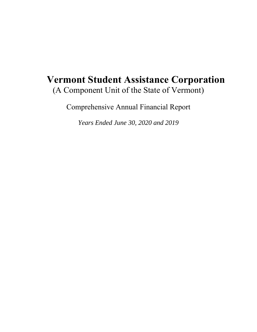# **Vermont Student Assistance Corporation**  (A Component Unit of the State of Vermont)

Comprehensive Annual Financial Report

*Years Ended June 30, 2020 and 2019*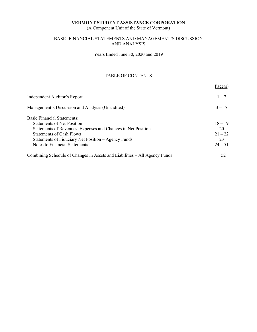(A Component Unit of the State of Vermont)

### BASIC FINANCIAL STATEMENTS AND MANAGEMENT'S DISCUSSION AND ANALYSIS

Years Ended June 30, 2020 and 2019

# TABLE OF CONTENTS

|                                                                            | Page(s)   |
|----------------------------------------------------------------------------|-----------|
| Independent Auditor's Report                                               | $1 - 2$   |
| Management's Discussion and Analysis (Unaudited)                           | $3 - 17$  |
| <b>Basic Financial Statements:</b>                                         |           |
| <b>Statements of Net Position</b>                                          | $18 - 19$ |
| Statements of Revenues, Expenses and Changes in Net Position               | 20        |
| <b>Statements of Cash Flows</b>                                            | $21 - 22$ |
| Statements of Fiduciary Net Position – Agency Funds                        | 23        |
| Notes to Financial Statements                                              | $24 - 51$ |
| Combining Schedule of Changes in Assets and Liabilities - All Agency Funds | 52        |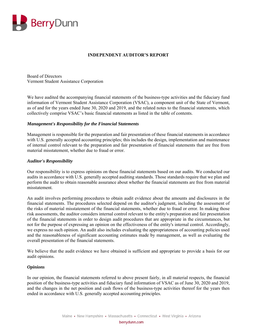

### **INDEPENDENT AUDITOR'S REPORT**

Board of Directors Vermont Student Assistance Corporation

We have audited the accompanying financial statements of the business-type activities and the fiduciary fund information of Vermont Student Assistance Corporation (VSAC), a component unit of the State of Vermont, as of and for the years ended June 30, 2020 and 2019, and the related notes to the financial statements, which collectively comprise VSAC's basic financial statements as listed in the table of contents.

#### *Management's Responsibility for the Financial Statements*

Management is responsible for the preparation and fair presentation of these financial statements in accordance with U.S. generally accepted accounting principles; this includes the design, implementation and maintenance of internal control relevant to the preparation and fair presentation of financial statements that are free from material misstatement, whether due to fraud or error.

#### *Auditor's Responsibility*

Our responsibility is to express opinions on these financial statements based on our audits. We conducted our audits in accordance with U.S. generally accepted auditing standards. Those standards require that we plan and perform the audit to obtain reasonable assurance about whether the financial statements are free from material misstatement.

An audit involves performing procedures to obtain audit evidence about the amounts and disclosures in the financial statements. The procedures selected depend on the auditor's judgment, including the assessment of the risks of material misstatement of the financial statements, whether due to fraud or error. In making those risk assessments, the auditor considers internal control relevant to the entity's preparation and fair presentation of the financial statements in order to design audit procedures that are appropriate in the circumstances, but not for the purpose of expressing an opinion on the effectiveness of the entity's internal control. Accordingly, we express no such opinion. An audit also includes evaluating the appropriateness of accounting policies used and the reasonableness of significant accounting estimates made by management, as well as evaluating the overall presentation of the financial statements.

We believe that the audit evidence we have obtained is sufficient and appropriate to provide a basis for our audit opinions.

#### *Opinions*

In our opinion, the financial statements referred to above present fairly, in all material respects, the financial position of the business-type activities and fiduciary fund information of VSAC as of June 30, 2020 and 2019, and the changes in the net position and cash flows of the business-type activities thereof for the years then ended in accordance with U.S. generally accepted accounting principles.

berrydunn.com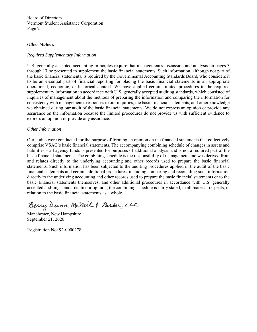Board of Directors Vermont Student Assistance Corporation Page 2

#### *Other Matters*

#### *Required Supplementary Information*

U.S. generally accepted accounting principles require that management's discussion and analysis on pages 3 through 17 be presented to supplement the basic financial statements. Such information, although not part of the basic financial statements, is required by the Governmental Accounting Standards Board, who considers it to be an essential part of financial reporting for placing the basic financial statements in an appropriate operational, economic, or historical context. We have applied certain limited procedures to the required supplementary information in accordance with U.S. generally accepted auditing standards, which consisted of inquiries of management about the methods of preparing the information and comparing the information for consistency with management's responses to our inquiries, the basic financial statements, and other knowledge we obtained during our audit of the basic financial statements. We do not express an opinion or provide any assurance on the information because the limited procedures do not provide us with sufficient evidence to express an opinion or provide any assurance.

#### *Other Information*

Our audits were conducted for the purpose of forming an opinion on the financial statements that collectively comprise VSAC's basic financial statements. The accompanying combining schedule of changes in assets and liabilities – all agency funds is presented for purposes of additional analysis and is not a required part of the basic financial statements. The combining schedule is the responsibility of management and was derived from and relates directly to the underlying accounting and other records used to prepare the basic financial statements. Such information has been subjected to the auditing procedures applied in the audit of the basic financial statements and certain additional procedures, including comparing and reconciling such information directly to the underlying accounting and other records used to prepare the basic financial statements or to the basic financial statements themselves, and other additional procedures in accordance with U.S. generally accepted auditing standards. In our opinion, the combining schedule is fairly stated, in all material respects, in relation to the basic financial statements as a whole.

Berry Dunn McNeil & Parker, LLC

Manchester, New Hampshire September 21, 2020

Registration No: 92-0000278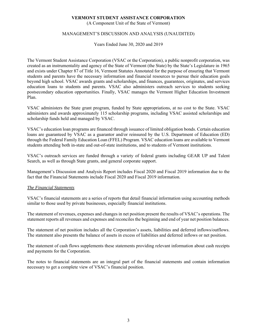(A Component Unit of the State of Vermont)

### MANAGEMENT'S DISCUSSION AND ANALYSIS (UNAUDITED)

Years Ended June 30, 2020 and 2019

The Vermont Student Assistance Corporation (VSAC or the Corporation), a public nonprofit corporation, was created as an instrumentality and agency of the State of Vermont (the State) by the State's Legislature in 1965 and exists under Chapter 87 of Title 16, Vermont Statutes Annotated for the purpose of ensuring that Vermont students and parents have the necessary information and financial resources to pursue their education goals beyond high school. VSAC awards grants and scholarships, and finances, guarantees, originates, and services education loans to students and parents. VSAC also administers outreach services to students seeking postsecondary education opportunities. Finally, VSAC manages the Vermont Higher Education Investment Plan.

VSAC administers the State grant program, funded by State appropriations, at no cost to the State. VSAC administers and awards approximately 115 scholarship programs, including VSAC assisted scholarships and scholarship funds held and managed by VSAC.

VSAC's education loan programs are financed through issuance of limited obligation bonds. Certain education loans are guaranteed by VSAC as a guarantor and/or reinsured by the U.S. Department of Education (ED) through the Federal Family Education Loan (FFEL) Program. VSAC education loans are available to Vermont students attending both in-state and out-of-state institutions, and to students of Vermont institutions.

VSAC's outreach services are funded through a variety of federal grants including GEAR UP and Talent Search, as well as through State grants, and general corporate support.

Management's Discussion and Analysis Report includes Fiscal 2020 and Fiscal 2019 information due to the fact that the Financial Statements include Fiscal 2020 and Fiscal 2019 information.

### *The Financial Statements*

VSAC's financial statements are a series of reports that detail financial information using accounting methods similar to those used by private businesses, especially financial institutions.

The statement of revenues, expenses and changes in net position present the results of VSAC's operations. The statement reports all revenues and expenses and reconciles the beginning and end of year net position balances.

The statement of net position includes all the Corporation's assets, liabilities and deferred inflows/outflows. The statement also presents the balance of assets in excess of liabilities and deferred inflows or net position.

The statement of cash flows supplements these statements providing relevant information about cash receipts and payments for the Corporation.

The notes to financial statements are an integral part of the financial statements and contain information necessary to get a complete view of VSAC's financial position.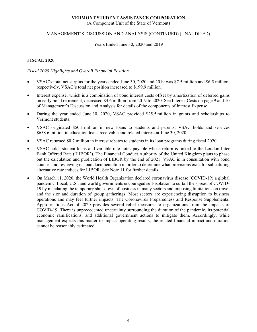(A Component Unit of the State of Vermont)

### MANAGEMENT'S DISCUSSION AND ANALYSIS (CONTINUED) (UNAUDITED)

#### Years Ended June 30, 2020 and 2019

### **FISCAL 2020**

### *Fiscal 2020 Highlights and Overall Financial Position*

- VSAC's total net surplus for the years ended June 30, 2020 and 2019 was \$7.5 million and \$6.5 million, respectively. VSAC's total net position increased to \$199.9 million.
- Interest expense, which is a combination of bond interest costs offset by amortization of deferred gains on early bond retirement, decreased \$4.6 million from 2019 to 2020. See Interest Costs on page 9 and 10 of Management's Discussion and Analysis for details of the components of Interest Expense.
- During the year ended June 30, 2020, VSAC provided \$25.5 million in grants and scholarships to Vermont students.
- VSAC originated \$50.1 million in new loans to students and parents. VSAC holds and services \$658.6 million in education loans receivable and related interest at June 30, 2020.
- VSAC returned \$0.7 million in interest rebates to students in its loan programs during fiscal 2020.
- VSAC holds student loans and variable rate notes payable whose return is linked to the London Inter Bank Offered Rate ('LIBOR'). The Financial Conduct Authority of the United Kingdom plans to phase out the calculation and publication of LIBOR by the end of 2021. VSAC is in consultation with bond counsel and reviewing its loan documentation in order to determine what provisions exist for substituting alternative rate indices for LIBOR. See Note 11 for further details.
- On March 11, 2020, the World Health Organization declared coronavirus disease (COVID-19) a global pandemic. Local, U.S., and world governments encouraged self-isolation to curtail the spread of COVID-19 by mandating the temporary shut-down of business in many sectors and imposing limitations on travel and the size and duration of group gatherings. Most sectors are experiencing disruption to business operations and may feel further impacts. The Coronavirus Preparedness and Response Supplemental Appropriations Act of 2020 provides several relief measures to organizations from the impacts of COVID-19. There is unprecedented uncertainty surrounding the duration of the pandemic, its potential economic ramifications, and additional government actions to mitigate them. Accordingly, while management expects this matter to impact operating results, the related financial impact and duration cannot be reasonably estimated.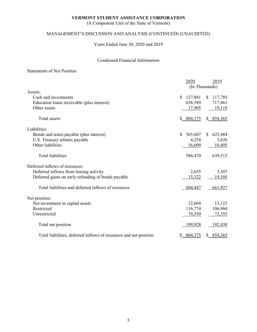(A Component Unit of the State of Vermont)

# MANAGEMENT'S DISCUSSION AND ANALYSIS (CONTINUED) (UNAUDITED)

Years Ended June 30, 2020 and 2019

### Condensed Financial Information

### Statements of Net Position

|                                                                   | 2020                    | 2019                    |
|-------------------------------------------------------------------|-------------------------|-------------------------|
|                                                                   |                         | (In Thousands)          |
| Assets:                                                           |                         |                         |
| Cash and investments                                              | 127,881<br><sup>S</sup> | 117,785<br><sup>S</sup> |
| Education loans receivable (plus interest)                        | 658,589                 | 717,461                 |
| Other assets                                                      | 17,905                  | 19,119                  |
| <b>Total</b> assets                                               | \$804,375               | \$8,854,365             |
| Liabilities:                                                      |                         |                         |
| Bonds and notes payable (plus interest)                           | \$<br>565,607           | 625,484<br>S.           |
| U.S. Treasury rebates payable                                     | 4,254                   | 3,626                   |
| Other liabilities                                                 | 16,609                  | 10,405                  |
| Total liabilities                                                 | 586,470                 | 639,515                 |
| Deferred inflows of resources:                                    |                         |                         |
| Deferred inflows from leasing activity                            | 2,655                   | 3,307                   |
| Deferred gains on early refunding of bonds payable                | 15,322                  | 19,105                  |
| Total liabilities and deferred inflows of resources               | 604,447                 | 661,927                 |
| Net position:                                                     |                         |                         |
| Net investment in capital assets                                  | 12,604                  | 13,123                  |
| Restricted                                                        | 116,774                 | 106,960                 |
| Unrestricted                                                      | 70,550                  | 72,355                  |
| Total net position                                                | <u>199,928</u>          | <u>192,438</u>          |
| Total liabilities, deferred inflows of resources and net position | 804,375                 | \$8, 854, 365           |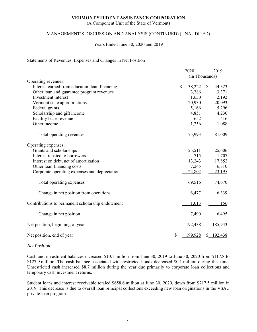(A Component Unit of the State of Vermont)

### MANAGEMENT'S DISCUSSION AND ANALYSIS (CONTINUED) (UNAUDITED)

#### Years Ended June 30, 2020 and 2019

#### Statements of Revenues, Expenses and Changes in Net Position

|                                                  | 2020          | 2019           |
|--------------------------------------------------|---------------|----------------|
|                                                  |               | (In Thousands) |
| Operating revenues:                              |               |                |
| Interest earned from education loan financing    | \$<br>38,222  | 44,323<br>\$   |
| Other loan and guarantee program revenues        | 3,286         | 3,371          |
| Investment interest                              | 1,630         | 2,192          |
| Vermont state appropriations                     | 20,930        | 20,093         |
| Federal grants                                   | 5,166         | 5,296          |
| Scholarship and gift income                      | 4,851         | 4,230          |
| Facility lease revenue                           | 652           | 416            |
| Other income                                     | 1,256         | 1,088          |
| Total operating revenues                         | 75,993        | 81,009         |
| Operating expenses:                              |               |                |
| Grants and scholarships                          | 25,511        | 25,606         |
| Interest rebated to borrowers                    | 715           | 1,707          |
| Interest on debt, net of amortization            | 13,243        | 17,852         |
| Other loan financing costs                       | 7,245         | 6,310          |
| Corporate operating expenses and depreciation    | 22,802        | 23,195         |
| Total operating expenses                         | 69,516        | 74,670         |
| Change in net position from operations           | 6,477         | 6,339          |
| Contributions to permanent scholarship endowment | 1,013         | 156            |
| Change in net position                           | 7,490         | 6,495          |
| Net position, beginning of year                  | 192,438       | 185,943        |
| Net position, end of year                        | \$<br>199,928 | \$ 192,438     |

#### *Net Position*

Cash and investment balances increased \$10.1 million from June 30, 2019 to June 30, 2020 from \$117.8 to \$127.9 million. The cash balance associated with restricted bonds decreased \$0.1 million during this time. Unrestricted cash increased \$8.7 million during the year due primarily to corporate loan collections and temporary cash investment returns.

Student loans and interest receivable totaled \$658.6 million at June 30, 2020, down from \$717.5 million in 2019. This decrease is due to overall loan principal collections exceeding new loan originations in the VSAC private loan program.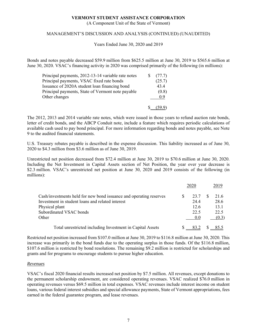(A Component Unit of the State of Vermont)

### MANAGEMENT'S DISCUSSION AND ANALYSIS (CONTINUED) (UNAUDITED)

Years Ended June 30, 2020 and 2019

Bonds and notes payable decreased \$59.9 million from \$625.5 million at June 30, 2019 to \$565.6 million at June 30, 2020. VSAC's financing activity in 2020 was comprised primarily of the following (in millions):

| Principal payments, 2012-13-14 variable rate notes | (77.7) |
|----------------------------------------------------|--------|
| Principal payments, VSAC fixed rate bonds          | (25.7) |
| Issuance of 2020A student loan financing bond      | 43.4   |
| Principal payments, State of Vermont note payable  | (0.8)  |
| Other changes                                      | 0.9    |
|                                                    |        |

The 2012, 2013 and 2014 variable rate notes, which were issued in those years to refund auction rate bonds, letter of credit bonds, and the ABCP Conduit note, include a feature which requires periodic calculations of available cash used to pay bond principal. For more information regarding bonds and notes payable, see Note 9 to the audited financial statements.

U.S. Treasury rebates payable is described in the expense discussion. This liability increased as of June 30, 2020 to \$4.3 million from \$3.6 million as of June 30, 2019.

Unrestricted net position decreased from \$72.4 million at June 30, 2019 to \$70.6 million at June 30, 2020. Including the Net Investment in Capital Assets section of Net Position, the year over year decrease is \$2.3 million. VSAC's unrestricted net position at June 30, 2020 and 2019 consists of the following (in millions):

|                                                                    | 2020 | 2019  |
|--------------------------------------------------------------------|------|-------|
| Cash/investments held for new bond issuance and operating reserves | 23.7 | 21.6  |
| Investment in student loans and related interest                   | 24.4 | 28.6  |
| Physical plant                                                     | 12.6 | 13.1  |
| Subordinated VSAC bonds                                            | 22.5 | 22.5  |
| Other                                                              | 0.0  | (0.3) |
| Total unrestricted including Investment in Capital Assets          | 83.2 |       |

Restricted net position increased from \$107.0 million at June 30, 2019 to \$116.8 million at June 30, 2020. This increase was primarily in the bond funds due to the operating surplus in those funds. Of the \$116.8 million, \$107.6 million is restricted by bond resolutions. The remaining \$9.2 million is restricted for scholarships and grants and for programs to encourage students to pursue higher education.

#### *Revenues*

VSAC's fiscal 2020 financial results increased net position by \$7.5 million. All revenues, except donations to the permanent scholarship endowment, are considered operating revenues. VSAC realized \$76.0 million in operating revenues versus \$69.5 million in total expenses. VSAC revenues include interest income on student loans, various federal interest subsidies and special allowance payments, State of Vermont appropriations, fees earned in the federal guarantee program, and lease revenues.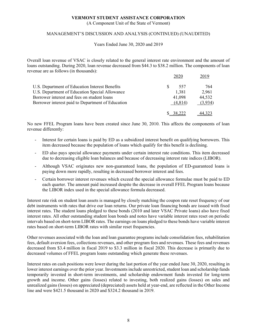(A Component Unit of the State of Vermont)

### MANAGEMENT'S DISCUSSION AND ANALYSIS (CONTINUED) (UNAUDITED)

Years Ended June 30, 2020 and 2019

Overall loan revenue of VSAC is closely related to the general interest rate environment and the amount of loans outstanding. During 2020, loan revenue decreased from \$44.3 to \$38.2 million. The components of loan revenue are as follows (in thousands):

|                                                   |         | 2019    |
|---------------------------------------------------|---------|---------|
| U.S. Department of Education Interest Benefits    | 557     | 764     |
| U.S. Department of Education Special Allowance    | 1,381   | 2,961   |
| Borrower interest and fees on student loans       | 41,098  | 44,532  |
| Borrower interest paid to Department of Education | (4,814) | (3,934) |
|                                                   |         |         |

No new FFEL Program loans have been created since June 30, 2010. This affects the components of loan revenue differently:

- Interest for certain loans is paid by ED as a subsidized interest benefit on qualifying borrowers. This item decreased because the population of loans which qualify for this benefit is declining.
- ED also pays special allowance payments under certain interest rate conditions. This item decreased due to decreasing eligible loan balances and because of decreasing interest rate indices (LIBOR).
- Although VSAC originates new non-guaranteed loans, the population of ED-guaranteed loans is paying down more rapidly, resulting in decreased borrower interest and fees.
- Certain borrower interest revenues which exceed the special allowance formulae must be paid to ED each quarter. The amount paid increased despite the decrease in overall FFEL Program loans because the LIBOR index used in the special allowance formula decreased.

Interest rate risk on student loan assets is managed by closely matching the coupon rate reset frequency of our debt instruments with rates that drive our loan returns. Our private loan financing bonds are issued with fixed interest rates. The student loans pledged to these bonds (2010 and later VSAC Private loans) also have fixed interest rates. All other outstanding student loan bonds and notes have variable interest rates reset on periodic intervals based on short-term LIBOR rates. The earnings on loans pledged to these bonds have variable interest rates based on short-term LIBOR rates with similar reset frequencies.

Other revenues associated with the loan and loan guarantee programs include consolidation fees, rehabilitation fees, default aversion fees, collections revenues, and other program fees and revenues. These fees and revenues decreased from \$3.4 million in fiscal 2019 to \$3.3 million in fiscal 2020. This decrease is primarily due to decreased volumes of FFEL program loans outstanding which generate these revenues.

Interest rates on cash positions were lower during the last portion of the year ended June 30, 2020, resulting in lower interest earnings over the prior year. Investments include unrestricted, student loan and scholarship funds temporarily invested in short-term investments, and scholarship endowment funds invested for long-term growth and income. Other gains (losses) related to investing, both realized gains (losses) on sales and unrealized gains (losses) on appreciated (depreciated) assets held at year-end, are reflected in the Other Income line and were \$421.5 thousand in 2020 and \$324.2 thousand in 2019.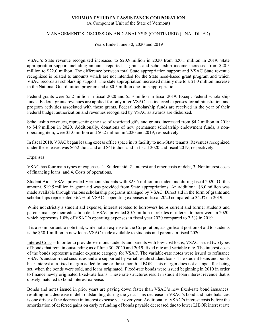(A Component Unit of the State of Vermont)

### MANAGEMENT'S DISCUSSION AND ANALYSIS (CONTINUED) (UNAUDITED)

Years Ended June 30, 2020 and 2019

VSAC's State revenue recognized increased to \$20.9 million in 2020 from \$20.1 million in 2019. State appropriation support including amounts reported as grants and scholarship income increased from \$20.5 million to \$22.0 million. The difference between total State appropriation support and VSAC State revenue recognized is related to amounts which are not intended for the State need-based grant program and which VSAC records as scholarship support. The state appropriation increased mainly due to a \$1.0 million increase in the National Guard tuition program and a \$0.5 million one-time appropriation.

Federal grants were \$5.2 million in fiscal 2020 and \$5.3 million in fiscal 2019. Except Federal scholarship funds, Federal grants revenues are applied for only after VSAC has incurred expenses for administration and program activities associated with those grants. Federal scholarship funds are received in the year of their Federal budget authorization and revenues recognized by VSAC as awards are disbursed.

Scholarship revenues, representing the use of restricted gifts and grants, increased from \$4.2 million in 2019 to \$4.9 million in 2020. Additionally, donations of new permanent scholarship endowment funds, a nonoperating item, were \$1.0 million and \$0.2 million in 2020 and 2019, respectively.

In fiscal 2018, VSAC began leasing excess office space in its facility to non-State tenants. Revenues recognized under these leases was \$652 thousand and \$416 thousand in fiscal 2020 and fiscal 2019, respectively.

#### *Expenses*

VSAC has four main types of expenses: 1. Student aid, 2. Interest and other costs of debt, 3. Noninterest costs of financing loans, and 4. Costs of operations.

Student Aid – VSAC provided Vermont students with \$25.5 million in student aid during fiscal 2020. Of this amount, \$19.5 million in grant aid was provided from State appropriations. An additional \$6.0 million was made available through various scholarship programs managed by VSAC. Direct aid in the form of grants and scholarships represented 36.7% of VSAC's operating expenses in fiscal 2020 compared to 34.3% in 2019.

While not strictly a student aid expense, interest rebated to borrowers helps current and former students and parents manage their education debt. VSAC provided \$0.7 million in rebates of interest to borrowers in 2020, which represents 1.0% of VSAC's operating expenses in fiscal year 2020 compared to 2.3% in 2019.

It is also important to note that, while not an expense to the Corporation, a significant portion of aid to students is the \$50.1 million in new loans VSAC made available to students and parents in fiscal 2020.

Interest Costs – In order to provide Vermont students and parents with low-cost loans, VSAC issued two types of bonds that remain outstanding as of June 30, 2020 and 2019, fixed rate and variable rate. The interest costs of the bonds represent a major expense category for VSAC. The variable-rate notes were issued to refinance VSAC's auction-rated securities and are supported by variable-rate student loans. The student loans and bonds bear interest at a fixed margin added to one or three-month LIBOR. This margin does not change after being set, when the bonds were sold, and loans originated. Fixed-rate bonds were issued beginning in 2010 in order to finance newly originated fixed-rate loans. These rate structures result in student loan interest revenue that is closely matched to bond interest expense.

Bonds and notes issued in prior years are paying down faster than VSAC's new fixed-rate bond issuances, resulting in a decrease in debt outstanding during the year. This decrease in VSAC's bond and note balances is one driver of the decrease in interest expense year over year. Additionally, VSAC's interest costs before the amortization of deferred gains on early refunding of bonds payable decreased due to lower LIBOR interest rate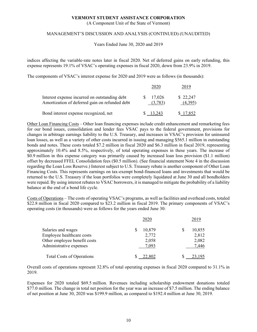(A Component Unit of the State of Vermont)

### MANAGEMENT'S DISCUSSION AND ANALYSIS (CONTINUED) (UNAUDITED)

Years Ended June 30, 2020 and 2019

indices affecting the variable-rate notes later in fiscal 2020. Net of deferred gains on early refunding, this expense represents 19.1% of VSAC's operating expenses in fiscal 2020, down from 23.9% in 2019.

The components of VSAC's interest expense for 2020 and 2019 were as follows (in thousands):

| Interest expense incurred on outstanding debt<br>Amortization of deferred gain on refunded debt | 17,026<br>(3,783) | \$22,247<br>(4.395) |
|-------------------------------------------------------------------------------------------------|-------------------|---------------------|
| Bond interest expense recognized, net                                                           | 13.243            |                     |

Other Loan Financing Costs – Other loan financing expenses include credit enhancement and remarketing fees for our bond issues, consolidation and lender fees VSAC pays to the federal government, provisions for changes in arbitrage earnings liability to the U.S. Treasury, and increases in VSAC's provision for uninsured loan losses, as well as a variety of other costs incurred in issuing and managing \$565.1 million in outstanding bonds and notes. These costs totaled \$7.2 million in fiscal 2020 and \$6.3 million in fiscal 2019, representing approximately 10.4% and 8.5%, respectively, of total operating expenses in these years. The increase of \$0.9 million in this expense category was primarily caused by increased loan loss provision (\$1.1 million) offset by decreased FFEL Consolidation fees (\$0.5 million). (See financial statement Note 4 in the discussion regarding the Loan Loss Reserve.) Interest subject to U.S. Treasury rebate is another component of Other Loan Financing Costs. This represents earnings on tax-exempt bond-financed loans and investments that would be returned to the U.S. Treasury if the loan portfolios were completely liquidated at June 30 and all bondholders were repaid. By using interest rebates to VSAC borrowers, it is managed to mitigate the probability of a liability balance at the end of a bond life cycle.

Costs of Operations – The costs of operating VSAC's programs, as well as facilities and overhead costs, totaled \$22.8 million in fiscal 2020 compared to \$23.2 million in fiscal 2019. The primary components of VSAC's operating costs (in thousands) were as follows for the years ended June 30:

|                                  | 2020   | 2019   |
|----------------------------------|--------|--------|
| Salaries and wages               | 10,879 | 10,855 |
| Employee healthcare costs        | 2,772  | 2,812  |
| Other employee benefit costs     | 2,058  | 2,082  |
| Administrative expenses          | 7,093  | 7,446  |
| <b>Total Costs of Operations</b> | 22.802 | 23,195 |

Overall costs of operations represent 32.8% of total operating expenses in fiscal 2020 compared to 31.1% in 2019.

Expenses for 2020 totaled \$69.5 million. Revenues including scholarship endowment donations totaled \$77.0 million. The change in total net position for the year was an increase of \$7.5 million. The ending balance of net position at June 30, 2020 was \$199.9 million, as compared to \$192.4 million at June 30, 2019.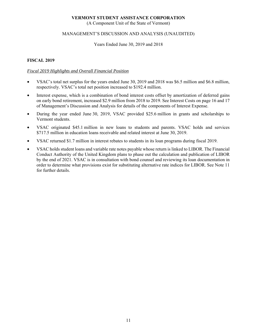(A Component Unit of the State of Vermont)

### MANAGEMENT'S DISCUSSION AND ANALYSIS (UNAUDITED)

Years Ended June 30, 2019 and 2018

### **FISCAL 2019**

### *Fiscal 2019 Highlights and Overall Financial Position*

- VSAC's total net surplus for the years ended June 30, 2019 and 2018 was \$6.5 million and \$6.8 million, respectively. VSAC's total net position increased to \$192.4 million.
- Interest expense, which is a combination of bond interest costs offset by amortization of deferred gains on early bond retirement, increased \$2.9 million from 2018 to 2019. See Interest Costs on page 16 and 17 of Management's Discussion and Analysis for details of the components of Interest Expense.
- During the year ended June 30, 2019, VSAC provided \$25.6 million in grants and scholarships to Vermont students.
- VSAC originated \$45.1 million in new loans to students and parents. VSAC holds and services \$717.5 million in education loans receivable and related interest at June 30, 2019.
- VSAC returned \$1.7 million in interest rebates to students in its loan programs during fiscal 2019.
- VSAC holds student loans and variable rate notes payable whose return is linked to LIBOR. The Financial Conduct Authority of the United Kingdom plans to phase out the calculation and publication of LIBOR by the end of 2021. VSAC is in consultation with bond counsel and reviewing its loan documentation in order to determine what provisions exist for substituting alternative rate indices for LIBOR. See Note 11 for further details.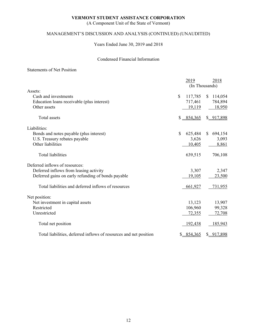(A Component Unit of the State of Vermont)

# MANAGEMENT'S DISCUSSION AND ANALYSIS (CONTINUED) (UNAUDITED)

Years Ended June 30, 2019 and 2018

### Condensed Financial Information

### Statements of Net Position

|                                                                   | 2019           | 2018                     |
|-------------------------------------------------------------------|----------------|--------------------------|
|                                                                   |                | (In Thousands)           |
| Assets:                                                           |                |                          |
| Cash and investments                                              | \$<br>117,785  | 114,054<br>$\mathbb{S}$  |
| Education loans receivable (plus interest)                        | 717,461        | 784,894                  |
| Other assets                                                      | 19,119         | 18,950                   |
| <b>Total</b> assets                                               | $$ -854,365$   | \$ 917,898               |
| Liabilities:                                                      |                |                          |
| Bonds and notes payable (plus interest)                           | \$<br>625,484  | 694,154<br><sup>\$</sup> |
| U.S. Treasury rebates payable                                     | 3,626          | 3,093                    |
| Other liabilities                                                 | 10,405         | 8,861                    |
| <b>Total liabilities</b>                                          | 639,515        | 706,108                  |
| Deferred inflows of resources:                                    |                |                          |
| Deferred inflows from leasing activity                            | 3,307          | 2,347                    |
| Deferred gains on early refunding of bonds payable                | 19,105         | 23,500                   |
| Total liabilities and deferred inflows of resources               | 661,927        | 731,955                  |
| Net position:                                                     |                |                          |
| Net investment in capital assets                                  | 13,123         | 13,907                   |
| Restricted                                                        | 106,960        | 99,328                   |
| Unrestricted                                                      | 72,355         | 72,708                   |
| Total net position                                                | <u>192,438</u> | 185,943                  |
| Total liabilities, deferred inflows of resources and net position | \$ 854,365     | \$ 917,898               |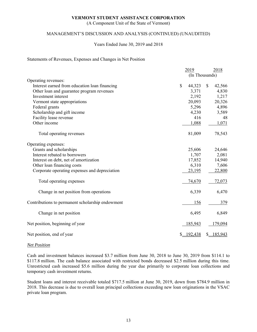(A Component Unit of the State of Vermont)

### MANAGEMENT'S DISCUSSION AND ANALYSIS (CONTINUED) (UNAUDITED)

#### Years Ended June 30, 2019 and 2018

#### Statements of Revenues, Expenses and Changes in Net Position

|                                                  | 2019                   | 2018                   |
|--------------------------------------------------|------------------------|------------------------|
|                                                  |                        | (In Thousands)         |
| Operating revenues:                              |                        |                        |
| Interest earned from education loan financing    | $\mathbb{S}$<br>44,323 | $\mathbb{S}$<br>42,566 |
| Other loan and guarantee program revenues        | 3,371                  | 4,830                  |
| Investment interest                              | 2,192                  | 1,217                  |
| Vermont state appropriations                     | 20,093                 | 20,326                 |
| Federal grants                                   | 5,296                  | 4,896                  |
| Scholarship and gift income                      | 4,230                  | 3,589                  |
| Facility lease revenue                           | 416                    | 48                     |
| Other income                                     | 1,088                  | 1,071                  |
| Total operating revenues                         | 81,009                 | 78,543                 |
| Operating expenses:                              |                        |                        |
| Grants and scholarships                          | 25,606                 | 24,646                 |
| Interest rebated to borrowers                    | 1,707                  | 2,081                  |
| Interest on debt, net of amortization            | 17,852                 | 14,940                 |
| Other loan financing costs                       | 6,310                  | 7,606                  |
| Corporate operating expenses and depreciation    | 23,195                 | 22,800                 |
| Total operating expenses                         | 74,670                 | 72,073                 |
| Change in net position from operations           | 6,339                  | 6,470                  |
| Contributions to permanent scholarship endowment | 156                    | 379                    |
| Change in net position                           | 6,495                  | 6,849                  |
| Net position, beginning of year                  | 185,943                | 179,094                |
| Net position, end of year                        | 192,438                | \$185,943              |

### *Net Position*

Cash and investment balances increased \$3.7 million from June 30, 2018 to June 30, 2019 from \$114.1 to \$117.8 million. The cash balance associated with restricted bonds decreased \$2.5 million during this time. Unrestricted cash increased \$5.6 million during the year due primarily to corporate loan collections and temporary cash investment returns.

Student loans and interest receivable totaled \$717.5 million at June 30, 2019, down from \$784.9 million in 2018. This decrease is due to overall loan principal collections exceeding new loan originations in the VSAC private loan program.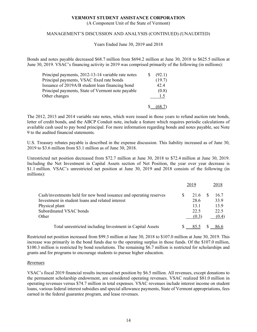(A Component Unit of the State of Vermont)

### MANAGEMENT'S DISCUSSION AND ANALYSIS (CONTINUED) (UNAUDITED)

Years Ended June 30, 2019 and 2018

Bonds and notes payable decreased \$68.7 million from \$694.2 million at June 30, 2018 to \$625.5 million at June 30, 2019. VSAC's financing activity in 2019 was comprised primarily of the following (in millions):

| Principal payments, 2012-13-14 variable rate notes | (92.1) |
|----------------------------------------------------|--------|
| Principal payments, VSAC fixed rate bonds          | (19.7) |
| Issuance of 2019A/B student loan financing bond    | 42.4   |
| Principal payments, State of Vermont note payable  | (0.8)  |
| Other changes                                      | 1.5    |
|                                                    |        |

The 2012, 2013 and 2014 variable rate notes, which were issued in those years to refund auction rate bonds, letter of credit bonds, and the ABCP Conduit note, include a feature which requires periodic calculations of available cash used to pay bond principal. For more information regarding bonds and notes payable, see Note 9 to the audited financial statements.

U.S. Treasury rebates payable is described in the expense discussion. This liability increased as of June 30, 2019 to \$3.6 million from \$3.1 million as of June 30, 2018.

Unrestricted net position decreased from \$72.7 million at June 30, 2018 to \$72.4 million at June 30, 2019. Including the Net Investment in Capital Assets section of Net Position, the year over year decrease is \$1.1 million. VSAC's unrestricted net position at June 30, 2019 and 2018 consists of the following (in millions):

|                                                                    | 2019  | 2018  |
|--------------------------------------------------------------------|-------|-------|
| Cash/investments held for new bond issuance and operating reserves | 21.6  | 16.7  |
| Investment in student loans and related interest                   | 28.6  | 33.9  |
| Physical plant                                                     | 13.1  | 13.9  |
| Subordinated VSAC bonds                                            | 22.5  | 22.5  |
| Other                                                              | (0.3) | (0.4) |
| Total unrestricted including Investment in Capital Assets          | 85.5  |       |

Restricted net position increased from \$99.3 million at June 30, 2018 to \$107.0 million at June 30, 2019. This increase was primarily in the bond funds due to the operating surplus in those funds. Of the \$107.0 million, \$100.3 million is restricted by bond resolutions. The remaining \$6.7 million is restricted for scholarships and grants and for programs to encourage students to pursue higher education.

#### *Revenues*

VSAC's fiscal 2019 financial results increased net position by \$6.5 million. All revenues, except donations to the permanent scholarship endowment, are considered operating revenues. VSAC realized \$81.0 million in operating revenues versus \$74.7 million in total expenses. VSAC revenues include interest income on student loans, various federal interest subsidies and special allowance payments, State of Vermont appropriations, fees earned in the federal guarantee program, and lease revenues.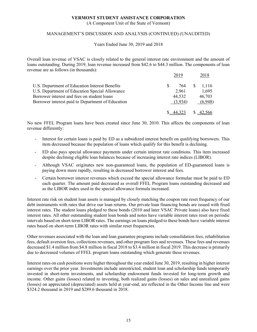(A Component Unit of the State of Vermont)

### MANAGEMENT'S DISCUSSION AND ANALYSIS (CONTINUED) (UNAUDITED)

Years Ended June 30, 2019 and 2018

Overall loan revenue of VSAC is closely related to the general interest rate environment and the amount of loans outstanding. During 2019, loan revenue increased from \$42.6 to \$44.3 million. The components of loan revenue are as follows (in thousands):

|                                                   | 2019    | 2018    |
|---------------------------------------------------|---------|---------|
| U.S. Department of Education Interest Benefits    | 764     | 1.116   |
| U.S. Department of Education Special Allowance    | 2,961   | 1,695   |
| Borrower interest and fees on student loans       | 44,532  | 46,703  |
| Borrower interest paid to Department of Education | (3.934) | (6,948) |
|                                                   |         |         |

No new FFEL Program loans have been created since June 30, 2010. This affects the components of loan revenue differently:

- Interest for certain loans is paid by ED as a subsidized interest benefit on qualifying borrowers. This item decreased because the population of loans which qualify for this benefit is declining.
- ED also pays special allowance payments under certain interest rate conditions. This item increased despite declining eligible loan balances because of increasing interest rate indices (LIBOR).
- Although VSAC originates new non-guaranteed loans, the population of ED-guaranteed loans is paying down more rapidly, resulting in decreased borrower interest and fees.
- Certain borrower interest revenues which exceed the special allowance formulae must be paid to ED each quarter. The amount paid decreased as overall FFEL Program loans outstanding decreased and as the LIBOR index used in the special allowance formula increased.

Interest rate risk on student loan assets is managed by closely matching the coupon rate reset frequency of our debt instruments with rates that drive our loan returns. Our private loan financing bonds are issued with fixed interest rates. The student loans pledged to these bonds (2010 and later VSAC Private loans) also have fixed interest rates. All other outstanding student loan bonds and notes have variable interest rates reset on periodic intervals based on short-term LIBOR rates. The earnings on loans pledged to these bonds have variable interest rates based on short-term LIBOR rates with similar reset frequencies.

Other revenues associated with the loan and loan guarantee programs include consolidation fees, rehabilitation fees, default aversion fees, collections revenues, and other program fees and revenues. These fees and revenues decreased \$1.4 million from \$4.8 million in fiscal 2018 to \$3.4 million in fiscal 2019. This decrease is primarily due to decreased volumes of FFEL program loans outstanding which generate these revenues.

Interest rates on cash positions were higher throughout the year ended June 30, 2019, resulting in higher interest earnings over the prior year. Investments include unrestricted, student loan and scholarship funds temporarily invested in short-term investments, and scholarship endowment funds invested for long-term growth and income. Other gains (losses) related to investing, both realized gains (losses) on sales and unrealized gains (losses) on appreciated (depreciated) assets held at year-end, are reflected in the Other Income line and were \$324.2 thousand in 2019 and \$289.6 thousand in 2018.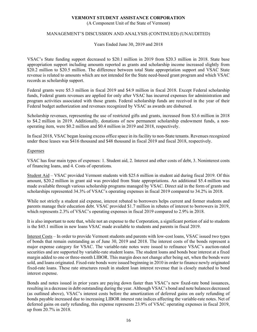(A Component Unit of the State of Vermont)

### MANAGEMENT'S DISCUSSION AND ANALYSIS (CONTINUED) (UNAUDITED)

Years Ended June 30, 2019 and 2018

VSAC's State funding support decreased to \$20.1 million in 2019 from \$20.3 million in 2018. State base appropriation support including amounts reported as grants and scholarship income increased slightly from \$20.2 million to \$20.5 million. The difference between total State appropriation support and VSAC State revenue is related to amounts which are not intended for the State need-based grant program and which VSAC records as scholarship support.

Federal grants were \$5.3 million in fiscal 2019 and \$4.9 million in fiscal 2018. Except Federal scholarship funds, Federal grants revenues are applied for only after VSAC has incurred expenses for administration and program activities associated with those grants. Federal scholarship funds are received in the year of their Federal budget authorization and revenues recognized by VSAC as awards are disbursed.

Scholarship revenues, representing the use of restricted gifts and grants, increased from \$3.6 million in 2018 to \$4.2 million in 2019. Additionally, donations of new permanent scholarship endowment funds, a nonoperating item, were \$0.2 million and \$0.4 million in 2019 and 2018, respectively.

In fiscal 2018, VSAC began leasing excess office space in its facility to non-State tenants. Revenues recognized under these leases was \$416 thousand and \$48 thousand in fiscal 2019 and fiscal 2018, respectively.

### *Expenses*

VSAC has four main types of expenses: 1. Student aid, 2. Interest and other costs of debt, 3. Noninterest costs of financing loans, and 4. Costs of operations.

Student Aid – VSAC provided Vermont students with \$25.6 million in student aid during fiscal 2019. Of this amount, \$20.2 million in grant aid was provided from State appropriations. An additional \$5.4 million was made available through various scholarship programs managed by VSAC. Direct aid in the form of grants and scholarships represented 34.3% of VSAC's operating expenses in fiscal 2019 compared to 34.2% in 2018.

While not strictly a student aid expense, interest rebated to borrowers helps current and former students and parents manage their education debt. VSAC provided \$1.7 million in rebates of interest to borrowers in 2019, which represents 2.3% of VSAC's operating expenses in fiscal 2019 compared to 2.9% in 2018.

It is also important to note that, while not an expense to the Corporation, a significant portion of aid to students is the \$45.1 million in new loans VSAC made available to students and parents in fiscal 2019.

Interest Costs – In order to provide Vermont students and parents with low-cost loans, VSAC issued two types of bonds that remain outstanding as of June 30, 2019 and 2018. The interest costs of the bonds represent a major expense category for VSAC. The variable-rate notes were issued to refinance VSAC's auction-rated securities and are supported by variable-rate student loans. The student loans and bonds bear interest at a fixed margin added to one or three-month LIBOR. This margin does not change after being set, when the bonds were sold, and loans originated. Fixed-rate bonds were issued beginning in 2010 in order to finance newly originated fixed-rate loans. These rate structures result in student loan interest revenue that is closely matched to bond interest expense.

Bonds and notes issued in prior years are paying down faster than VSAC's new fixed-rate bond issuances, resulting in a decrease in debt outstanding during the year. Although VSAC's bond and note balances decreased (as outlined above), VSAC's interest costs before the amortization of deferred gains on early refunding of bonds payable increased due to increasing LIBOR interest rate indices affecting the variable-rate notes. Net of deferred gains on early refunding, this expense represents 23.9% of VSAC operating expenses in fiscal 2019, up from 20.7% in 2018.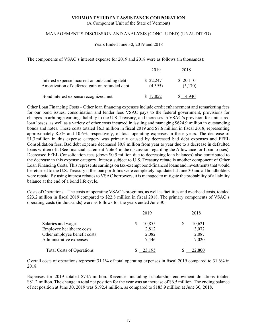(A Component Unit of the State of Vermont)

#### MANAGEMENT'S DISCUSSION AND ANALYSIS (CONCLUDED) (UNAUDITED)

Years Ended June 30, 2019 and 2018

The components of VSAC's interest expense for 2019 and 2018 were as follows (in thousands):

|                                                                                                 | 2019                | 2018                |
|-------------------------------------------------------------------------------------------------|---------------------|---------------------|
| Interest expense incurred on outstanding debt<br>Amortization of deferred gain on refunded debt | \$22,247<br>(4.395) | \$20,110<br>(5.170) |
| Bond interest expense recognized, net                                                           |                     |                     |

Other Loan Financing Costs – Other loan financing expenses include credit enhancement and remarketing fees for our bond issues, consolidation and lender fees VSAC pays to the federal government, provisions for changes in arbitrage earnings liability to the U.S. Treasury, and increases in VSAC's provision for uninsured loan losses, as well as a variety of other costs incurred in issuing and managing \$624.9 million in outstanding bonds and notes. These costs totaled \$6.3 million in fiscal 2019 and \$7.6 million in fiscal 2018, representing approximately 8.5% and 10.6%, respectively, of total operating expenses in these years. The decrease of \$1.3 million in this expense category was primarily caused by decreased bad debt expenses and FFEL Consolidation fees. Bad debt expense decreased \$0.8 million from year to year due to a decrease in defaulted loans written off. (See financial statement Note 4 in the discussion regarding the Allowance for Loan Losses). Decreased FFEL Consolidation fees (down \$0.5 million due to decreasing loan balances) also contributed to the decrease in this expense category. Interest subject to U.S. Treasury rebate is another component of Other Loan Financing Costs. This represents earnings on tax-exempt bond-financed loans and investments that would be returned to the U.S. Treasury if the loan portfolios were completely liquidated at June 30 and all bondholders were repaid. By using interest rebates to VSAC borrowers, it is managed to mitigate the probability of a liability balance at the end of a bond life cycle.

Costs of Operations – The costs of operating VSAC's programs, as well as facilities and overhead costs, totaled \$23.2 million in fiscal 2019 compared to \$22.8 million in fiscal 2018. The primary components of VSAC's operating costs (in thousands) were as follows for the years ended June 30:

|                                  | 2019   | 2018   |
|----------------------------------|--------|--------|
| Salaries and wages               | 10,855 | 10,621 |
| Employee healthcare costs        | 2,812  | 3,072  |
| Other employee benefit costs     | 2,082  | 2,087  |
| Administrative expenses          | 7,446  | 7,020  |
| <b>Total Costs of Operations</b> |        | 22,800 |

Overall costs of operations represent 31.1% of total operating expenses in fiscal 2019 compared to 31.6% in 2018.

Expenses for 2019 totaled \$74.7 million. Revenues including scholarship endowment donations totaled \$81.2 million. The change in total net position for the year was an increase of \$6.5 million. The ending balance of net position at June 30, 2019 was \$192.4 million, as compared to \$185.9 million at June 30, 2018.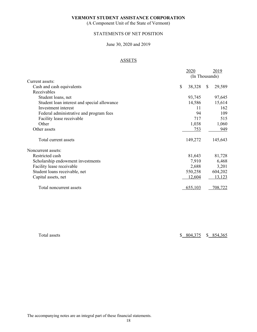(A Component Unit of the State of Vermont)

# STATEMENTS OF NET POSITION

### June 30, 2020 and 2019

# ASSETS

|                                             | 2020                   | <u>2019</u>             |
|---------------------------------------------|------------------------|-------------------------|
|                                             |                        | (In Thousands)          |
| Current assets:                             |                        |                         |
| Cash and cash equivalents                   | $\mathbb{S}$<br>38,328 | 29,589<br><sup>\$</sup> |
| Receivables                                 |                        |                         |
| Student loans, net                          | 93,745                 | 97,645                  |
| Student loan interest and special allowance | 14,586                 | 15,614                  |
| Investment interest                         | 11                     | 162                     |
| Federal administrative and program fees     | 94                     | 109                     |
| Facility lease receivable                   | 717                    | 515                     |
| Other                                       | 1,038                  | 1,060                   |
| Other assets                                | 753                    | 949                     |
| Total current assets                        | 149,272                | 145,643                 |
| Noncurrent assets:                          |                        |                         |
| Restricted cash                             | 81,643                 | 81,728                  |
| Scholarship endowment investments           | 7,910                  | 6,468                   |
| Facility lease receivable                   | 2,688                  | 3,201                   |
| Student loans receivable, net               | 550,258                | 604,202                 |
| Capital assets, net                         | 12,604                 | 13,123                  |
| Total noncurrent assets                     | 655,103                | 708,722                 |

Total assets \$ 804,375 \$ 854,365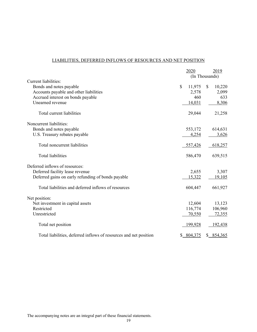# LIABILITIES, DEFERRED INFLOWS OF RESOURCES AND NET POSITION

|                                                                   |                | 2020      |              | 2019          |
|-------------------------------------------------------------------|----------------|-----------|--------------|---------------|
|                                                                   | (In Thousands) |           |              |               |
| Current liabilities:                                              |                |           |              |               |
| Bonds and notes payable                                           | \$             | 11,975    | $\mathbb{S}$ | 10,220        |
| Accounts payable and other liabilities                            |                | 2,578     |              | 2,099         |
| Accrued interest on bonds payable                                 |                | 460       |              | 633           |
| Unearned revenue                                                  |                | 14,031    |              | 8,306         |
| Total current liabilities                                         |                | 29,044    |              | 21,258        |
| Noncurrent liabilities:                                           |                |           |              |               |
| Bonds and notes payable                                           |                | 553,172   |              | 614,631       |
| U.S. Treasury rebates payable                                     |                | 4,254     |              | 3,626         |
| Total noncurrent liabilities                                      |                | 557,426   |              | 618,257       |
| <b>Total liabilities</b>                                          |                | 586,470   |              | 639,515       |
| Deferred inflows of resources:                                    |                |           |              |               |
| Deferred facility lease revenue                                   |                | 2,655     |              | 3,307         |
| Deferred gains on early refunding of bonds payable                |                | 15,322    |              | 19,105        |
| Total liabilities and deferred inflows of resources               |                | 604,447   |              | 661,927       |
| Net position:                                                     |                |           |              |               |
| Net investment in capital assets                                  |                | 12,604    |              | 13,123        |
| Restricted                                                        |                | 116,774   |              | 106,960       |
| Unrestricted                                                      |                | 70,550    |              | 72,355        |
| Total net position                                                |                | 199,928   |              | 192,438       |
| Total liabilities, deferred inflows of resources and net position |                | \$804,375 |              | \$8, 854, 365 |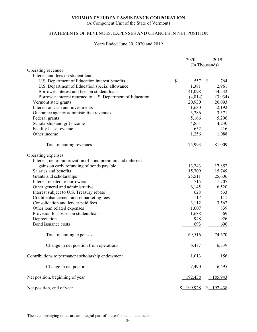(A Component Unit of the State of Vermont)

# STATEMENTS OF REVENUES, EXPENSES AND CHANGES IN NET POSITION

#### Years Ended June 30, 2020 and 2019

|                                                            | 2020           | 2019       |
|------------------------------------------------------------|----------------|------------|
|                                                            | (In Thousands) |            |
| Operating revenues:                                        |                |            |
| Interest and fees on student loans:                        |                |            |
| U.S. Department of Education interest benefits             | \$<br>557      | \$<br>764  |
| U.S. Department of Education special allowance             | 1,381          | 2,961      |
| Borrower interest and fees on student loans                | 41,098         | 44,532     |
| Borrower interest returned to U.S. Department of Education | (4,814)        | (3,934)    |
| Vermont state grants                                       | 20,930         | 20,093     |
| Interest on cash and investments                           | 1,630          | 2,192      |
| Guarantee agency administrative revenues                   | 3,286          | 3,371      |
| Federal grants                                             | 5,166          | 5,296      |
| Scholarship and gift income                                | 4,851          | 4,230      |
| Facility lease revenue                                     | 652            | 416        |
| Other income                                               | 1,256          | 1,088      |
| Total operating revenues                                   | 75,993         | 81,009     |
| Operating expenses:                                        |                |            |
| Interest, net of amortization of bond premium and deferred |                |            |
| gains on early refunding of bonds payable                  | 13,243         | 17,852     |
| Salaries and benefits                                      | 15,709         | 15,749     |
| Grants and scholarships                                    | 25,511         | 25,606     |
| Interest rebated to borrowers                              | 715            | 1,707      |
| Other general and administrative                           | 6,145          | 6,520      |
| Interest subject to U.S. Treasury rebate                   | 628            | 533        |
| Credit enhancement and remarketing fees                    | 117            | 111        |
| Consolidation and lender paid fees                         | 3,112          | 3,562      |
| Other loan related expenses                                | 1,007          | 839        |
| Provision for losses on student loans                      | 1,688          | 569        |
| Depreciation                                               | 948            | 926        |
| Bond issuance costs                                        | 693            | 696        |
| Total operating expenses                                   | 69,516         | 74,670     |
| Change in net position from operations                     | 6,477          | 6,339      |
| Contributions to permanent scholarship endowment           | 1,013          | 156        |
| Change in net position                                     | 7,490          | 6,495      |
| Net position, beginning of year                            | 192,438        | 185,943    |
| Net position, end of year                                  | \$ 199,928     | \$ 192,438 |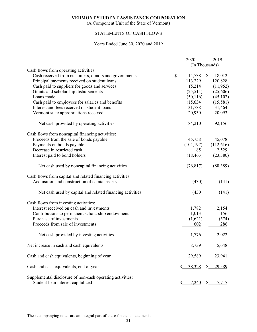(A Component Unit of the State of Vermont)

# STATEMENTS OF CASH FLOWS

#### Years Ended June 30, 2020 and 2019

|                                                           | 2020           |    | 2019       |
|-----------------------------------------------------------|----------------|----|------------|
|                                                           | (In Thousands) |    |            |
| Cash flows from operating activities:                     |                |    |            |
| Cash received from customers, donors and governments      | \$<br>14,738   | \$ | 18,012     |
| Principal payments received on student loans              | 113,229        |    | 120,828    |
| Cash paid to suppliers for goods and services             | (5,214)        |    | (11,952)   |
| Grants and scholarship disbursements                      | (25,511)       |    | (25,606)   |
| Loans made                                                | (50, 116)      |    | (45,102)   |
| Cash paid to employees for salaries and benefits          | (15, 634)      |    | (15,581)   |
| Interest and fees received on student loans               | 31,788         |    | 31,464     |
| Vermont state appropriations received                     | 20,930         |    | 20,093     |
| Net cash provided by operating activities                 | 84,210         |    | 92,156     |
| Cash flows from noncapital financing activities:          |                |    |            |
| Proceeds from the sale of bonds payable                   | 45,758         |    | 45,078     |
| Payments on bonds payable                                 | (104, 197)     |    | (112, 616) |
| Decrease in restricted cash                               | 85             |    | 2,529      |
| Interest paid to bond holders                             | (18, 463)      |    | (23, 380)  |
| Net cash used by noncapital financing activities          | (76, 817)      |    | (88, 389)  |
| Cash flows from capital and related financing activities: |                |    |            |
| Acquisition and construction of capital assets            | (430)          |    | (141)      |
|                                                           |                |    |            |
| Net cash used by capital and related financing activities | (430)          |    | (141)      |
| Cash flows from investing activities:                     |                |    |            |
| Interest received on cash and investments                 | 1,782          |    | 2,154      |
| Contributions to permanent scholarship endowment          | 1,013          |    | 156        |
| Purchase of investments                                   | (1,621)        |    | (574)      |
| Proceeds from sale of investments                         | 602            |    | 286        |
|                                                           |                |    |            |
| Net cash provided by investing activities                 | 1,776          |    | 2,022      |
| Net increase in cash and cash equivalents                 | 8,739          |    | 5,648      |
| Cash and cash equivalents, beginning of year              | 29,589         |    | 23,941     |
| Cash and cash equivalents, end of year                    | 38,328<br>S    |    | 29,589     |
|                                                           |                |    |            |
| Supplemental disclosure of non-cash operating activities: |                |    |            |
| Student loan interest capitalized                         | \$.<br>7,240   |    | 7.717      |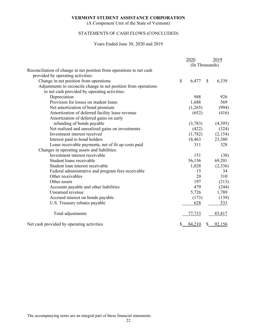(A Component Unit of the State of Vermont)

# STATEMENTS OF CASH FLOWS (CONCLUDED)

#### Years Ended June 30, 2020 and 2019

|                                                                      |                | 2020    |    | 2019     |
|----------------------------------------------------------------------|----------------|---------|----|----------|
|                                                                      | (In Thousands) |         |    |          |
| Reconciliation of change in net position from operations to net cash |                |         |    |          |
| provided by operating activities:                                    |                |         |    |          |
| Change in net position from operations                               | \$             | 6,477   | \$ | 6,339    |
| Adjustments to reconcile change in net position from operations      |                |         |    |          |
| to net cash provided by operating activities:                        |                |         |    |          |
| Depreciation                                                         |                | 948     |    | 926      |
| Provision for losses on student loans                                |                | 1,688   |    | 569      |
| Net amortization of bond premium                                     |                | (1,265) |    | (994)    |
| Amortization of deferred facility lease revenue                      |                | (652)   |    | (416)    |
| Amortization of deferred gains on early                              |                |         |    |          |
| refunding of bonds payable                                           |                | (3,783) |    | (4,395)  |
| Net realized and unrealized gains on investments                     |                | (422)   |    | (324)    |
| Investment interest received                                         |                | (1,782) |    | (2,154)  |
| Interest paid to bond holders                                        |                | 18,463  |    | 23,380   |
| Lease receivable payments, net of fit up costs paid                  |                | 311     |    | 328      |
| Changes in operating assets and liabilities:                         |                |         |    |          |
| Investment interest receivable                                       |                | 151     |    | (38)     |
| Student loans receivable                                             |                | 56,156  |    | 69,201   |
| Student loan interest receivable                                     |                | 1,028   |    | (2, 336) |
| Federal administrative and program fees receivable                   |                | 15      |    | 34       |
| Other receivables                                                    |                | 20      |    | 310      |
| Other assets                                                         |                | 197     |    | (213)    |
| Accounts payable and other liabilities                               |                | 479     |    | (244)    |
| Unearned revenue                                                     |                | 5,726   |    | 1,789    |
| Accrued interest on bonds payable                                    |                | (173)   |    | (139)    |
| U.S. Treasury rebates payable                                        |                | 628     |    | 533      |
| Total adjustments                                                    |                | 77,733  |    | 85,817   |
| Net cash provided by operating activities                            |                | 84,210  |    | 92,156   |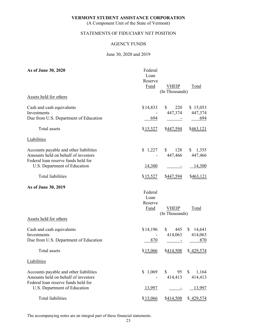(A Component Unit of the State of Vermont)

# STATEMENTS OF FIDUCIARY NET POSITION

### AGENCY FUNDS

### June 30, 2020 and 2019

| As of June 30, 2020                                                                                                  | Federal<br>Loan<br>Reserve |                                |                              |
|----------------------------------------------------------------------------------------------------------------------|----------------------------|--------------------------------|------------------------------|
|                                                                                                                      | <b>Fund</b>                | <b>VHEIP</b>                   | <b>Total</b>                 |
|                                                                                                                      |                            | (In Thousands)                 |                              |
| Assets held for others                                                                                               |                            |                                |                              |
| Cash and cash equivalents<br>Investments                                                                             | \$14,833                   | 220<br>S —<br>447,374          | \$15,053<br>447,374          |
| Due from U.S. Department of Education                                                                                | 694                        |                                | 694                          |
| Total assets                                                                                                         | \$15,527                   | \$447,594                      | \$463,121                    |
| <b>Liabilities</b>                                                                                                   |                            |                                |                              |
| Accounts payable and other liabilities<br>Amounts held on behalf of investors<br>Federal loan reserve funds held for | \$1,227                    | $\mathbb{S}$<br>128<br>447,466 | $\frac{1,355}{ }$<br>447,466 |
| U.S. Department of Education                                                                                         | 14,300                     |                                | <u>14,300</u>                |
| <b>Total liabilities</b>                                                                                             | \$15,527                   | \$447,594                      | \$463,121                    |
| As of June 30, 2019                                                                                                  |                            |                                |                              |
|                                                                                                                      | Federal                    |                                |                              |
|                                                                                                                      | Loan                       |                                |                              |
|                                                                                                                      | Reserve<br>Fund            | <b>VHEIP</b>                   | Total                        |
|                                                                                                                      |                            | (In Thousands)                 |                              |
| Assets held for others                                                                                               |                            |                                |                              |
| Cash and cash equivalents                                                                                            | \$14,196                   | \$<br>445                      | \$<br>14,641                 |
| Investments<br>Due from U.S. Department of Education                                                                 | 870                        | 414,063                        | 414,063<br>870               |
|                                                                                                                      |                            |                                |                              |
| Total assets                                                                                                         | \$15,066                   | \$414,508                      | \$429,574                    |
| <b>Liabilities</b>                                                                                                   |                            |                                |                              |
| Accounts payable and other liabilities                                                                               | \$1,069                    | \$<br>95                       | \$<br>1,164                  |
| Amounts held on behalf of investors<br>Federal loan reserve funds held for                                           |                            | 414,413                        | 414,413                      |
| U.S. Department of Education                                                                                         | 13,997                     |                                | <u>13,997</u>                |
| <b>Total liabilities</b>                                                                                             | \$15,066                   | \$414,508                      | \$429,574                    |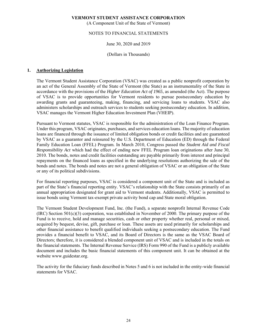(A Component Unit of the State of Vermont)

### NOTES TO FINANCIAL STATEMENTS

### June 30, 2020 and 2019

#### (Dollars in Thousands)

### **1. Authorizing Legislation**

The Vermont Student Assistance Corporation (VSAC) was created as a public nonprofit corporation by an act of the General Assembly of the State of Vermont (the State) as an instrumentality of the State in accordance with the provisions of the *Higher Education Act of 1965*, as amended (the Act). The purpose of VSAC is to provide opportunities for Vermont residents to pursue postsecondary education by awarding grants and guaranteeing, making, financing, and servicing loans to students. VSAC also administers scholarships and outreach services to students seeking postsecondary education. In addition, VSAC manages the Vermont Higher Education Investment Plan (VHEIP).

Pursuant to Vermont statutes, VSAC is responsible for the administration of the Loan Finance Program. Under this program, VSAC originates, purchases, and services education loans. The majority of education loans are financed through the issuance of limited obligation bonds or credit facilities and are guaranteed by VSAC as a guarantor and reinsured by the U.S. Department of Education (ED) through the Federal Family Education Loan (FFEL) Program. In March 2010, Congress passed the *Student Aid and Fiscal Responsibility Act* which had the effect of ending new FFEL Program loan originations after June 30, 2010. The bonds, notes and credit facilities outstanding are payable primarily from interest and principal repayments on the financed loans as specified in the underlying resolutions authorizing the sale of the bonds and notes. The bonds and notes are not a general obligation of VSAC or an obligation of the State or any of its political subdivisions.

For financial reporting purposes, VSAC is considered a component unit of the State and is included as part of the State's financial reporting entity. VSAC's relationship with the State consists primarily of an annual appropriation designated for grant aid to Vermont students. Additionally, VSAC is permitted to issue bonds using Vermont tax-exempt private activity bond cap and State moral obligation.

The Vermont Student Development Fund, Inc. (the Fund), a separate nonprofit Internal Revenue Code  $(IRC)$  Section  $501(c)(3)$  corporation, was established in November of 2000. The primary purpose of the Fund is to receive, hold and manage securities, cash or other property whether real, personal or mixed, acquired by bequest, devise, gift, purchase or loan. These assets are used primarily for scholarships and other financial assistance to benefit qualified individuals seeking a postsecondary education. The Fund provides a financial benefit to VSAC, and its Board of Directors is the same as the VSAC Board of Directors; therefore, it is considered a blended component unit of VSAC and is included in the totals on the financial statements. The Internal Revenue Service (IRS) Form 990 of the Fund is a publicly available document and includes the basic financial statements of this component unit. It can be obtained at the website www.guidestar.org.

The activity for the fiduciary funds described in Notes 5 and 6 is not included in the entity-wide financial statements for VSAC.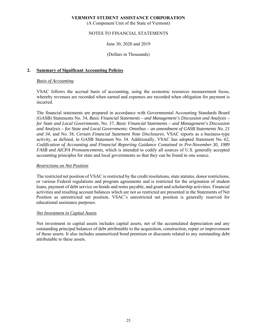(A Component Unit of the State of Vermont)

### NOTES TO FINANCIAL STATEMENTS

### June 30, 2020 and 2019

#### (Dollars in Thousands)

### **2. Summary of Significant Accounting Policies**

#### *Basis of Accounting*

VSAC follows the accrual basis of accounting, using the economic resources measurement focus, whereby revenues are recorded when earned and expenses are recorded when obligation for payment is incurred.

The financial statements are prepared in accordance with Governmental Accounting Standards Board (GASB) Statements No. 34, *Basic Financial Statements – and Management's Discussion and Analysis – for State and Local Governments*, No. 37, *Basic Financial Statements – and Management's Discussion and Analysis – for State and Local Governments: Omnibus – an amendment of GASB Statements No. 21 and 34*, and No. 38, *Certain Financial Statement Note Disclosures*. VSAC reports as a business-type activity, as defined, in GASB Statement No. 34. Additionally, VSAC has adopted Statement No. 62, *Codification of Accounting and Financial Reporting Guidance Contained in Pre-November 30, 1989 FASB and AICPA Pronouncements,* which is intended to codify all sources of U.S. generally accepted accounting principles for state and local governments so that they can be found in one source.

#### *Restrictions on Net Position*

The restricted net position of VSAC is restricted by the credit resolutions, state statutes, donor restrictions, or various Federal regulations and program agreements and is restricted for the origination of student loans, payment of debt service on bonds and notes payable, and grant and scholarship activities. Financial activities and resulting account balances which are not so restricted are presented in the Statements of Net Position as unrestricted net position. VSAC's unrestricted net position is generally reserved for educational assistance purposes.

#### *Net Investment in Capital Assets*

Net investment in capital assets includes capital assets, net of the accumulated depreciation and any outstanding principal balances of debt attributable to the acquisition, construction, repair or improvement of those assets. It also includes unamortized bond premium or discounts related to any outstanding debt attributable to these assets.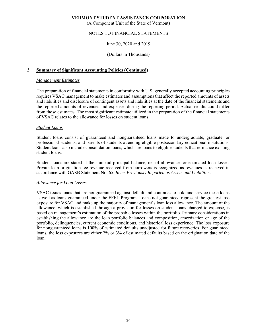(A Component Unit of the State of Vermont)

### NOTES TO FINANCIAL STATEMENTS

### June 30, 2020 and 2019

#### (Dollars in Thousands)

### **2. Summary of Significant Accounting Policies (Continued)**

#### *Management Estimates*

The preparation of financial statements in conformity with U.S. generally accepted accounting principles requires VSAC management to make estimates and assumptions that affect the reported amounts of assets and liabilities and disclosure of contingent assets and liabilities at the date of the financial statements and the reported amounts of revenues and expenses during the reporting period. Actual results could differ from those estimates. The most significant estimate utilized in the preparation of the financial statements of VSAC relates to the allowance for losses on student loans.

#### *Student Loans*

Student loans consist of guaranteed and nonguaranteed loans made to undergraduate, graduate, or professional students, and parents of students attending eligible postsecondary educational institutions. Student loans also include consolidation loans, which are loans to eligible students that refinance existing student loans.

Student loans are stated at their unpaid principal balance, net of allowance for estimated loan losses. Private loan origination fee revenue received from borrowers is recognized as revenues as received in accordance with GASB Statement No. 65, *Items Previously Reported as Assets and Liabilities.* 

#### *Allowance for Loan Losses*

VSAC issues loans that are not guaranteed against default and continues to hold and service these loans as well as loans guaranteed under the FFEL Program. Loans not guaranteed represent the greatest loss exposure for VSAC and make up the majority of management's loan loss allowance. The amount of the allowance, which is established through a provision for losses on student loans charged to expense, is based on management's estimation of the probable losses within the portfolio. Primary considerations in establishing the allowance are the loan portfolio balances and composition, amortization or age of the portfolio, delinquencies, current economic conditions, and historical loss experience. The loss exposure for nonguaranteed loans is 100% of estimated defaults unadjusted for future recoveries. For guaranteed loans, the loss exposures are either 2% or 3% of estimated defaults based on the origination date of the loan.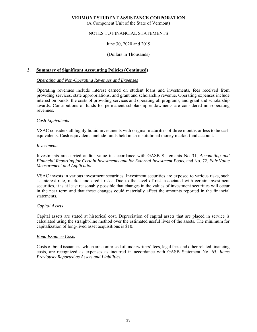(A Component Unit of the State of Vermont)

# NOTES TO FINANCIAL STATEMENTS

### June 30, 2020 and 2019

#### (Dollars in Thousands)

### **2. Summary of Significant Accounting Policies (Continued)**

#### *Operating and Non-Operating Revenues and Expenses*

Operating revenues include interest earned on student loans and investments, fees received from providing services, state appropriations, and grant and scholarship revenue. Operating expenses include interest on bonds, the costs of providing services and operating all programs, and grant and scholarship awards. Contributions of funds for permanent scholarship endowments are considered non-operating revenues.

#### *Cash Equivalents*

VSAC considers all highly liquid investments with original maturities of three months or less to be cash equivalents. Cash equivalents include funds held in an institutional money market fund account.

#### *Investments*

Investments are carried at fair value in accordance with GASB Statements No. 31, *Accounting and Financial Reporting for Certain Investments and for External Investment Pools*, and No. 72, *Fair Value Measurement and Application*.

VSAC invests in various investment securities. Investment securities are exposed to various risks, such as interest rate, market and credit risks. Due to the level of risk associated with certain investment securities, it is at least reasonably possible that changes in the values of investment securities will occur in the near term and that these changes could materially affect the amounts reported in the financial statements.

#### *Capital Assets*

Capital assets are stated at historical cost. Depreciation of capital assets that are placed in service is calculated using the straight-line method over the estimated useful lives of the assets. The minimum for capitalization of long-lived asset acquisitions is \$10.

#### *Bond Issuance Costs*

Costs of bond issuances, which are comprised of underwriters' fees, legal fees and other related financing costs, are recognized as expenses as incurred in accordance with GASB Statement No. 65, *Items Previously Reported as Assets and Liabilities.*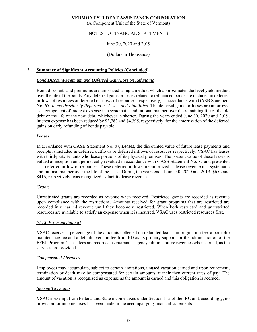(A Component Unit of the State of Vermont)

# NOTES TO FINANCIAL STATEMENTS

### June 30, 2020 and 2019

#### (Dollars in Thousands)

### **2. Summary of Significant Accounting Policies (Concluded)**

#### *Bond Discount/Premium and Deferred Gain/Loss on Refunding*

Bond discounts and premiums are amortized using a method which approximates the level yield method over the life of the bonds. Any deferred gains or losses related to refinanced bonds are included in deferred inflows of resources or deferred outflows of resources, respectively, in accordance with GASB Statement No. 65, *Items Previously Reported as Assets and Liabilities.* The deferred gains or losses are amortized as a component of interest expense in a systematic and rational manner over the remaining life of the old debt or the life of the new debt, whichever is shorter. During the years ended June 30, 2020 and 2019, interest expense has been reduced by \$3,783 and \$4,395, respectively, for the amortization of the deferred gains on early refunding of bonds payable.

#### *Leases*

In accordance with GASB Statement No. 87, *Leases*, the discounted value of future lease payments and receipts is included in deferred outflows or deferred inflows of resources respectively. VSAC has leases with third-party tenants who lease portions of its physical premises. The present value of these leases is valued at inception and periodically revalued in accordance with GASB Statement No. 87 and presented as a deferred inflow of resources. These deferred inflows are amortized as lease revenue in a systematic and rational manner over the life of the lease. During the years ended June 30, 2020 and 2019, \$652 and \$416, respectively, was recognized as facility lease revenue.

### *Grants*

Unrestricted grants are recorded as revenue when received. Restricted grants are recorded as revenue upon compliance with the restrictions. Amounts received for grant programs that are restricted are recorded in unearned revenue until they become unrestricted. When both restricted and unrestricted resources are available to satisfy an expense when it is incurred, VSAC uses restricted resources first.

#### *FFEL Program Support*

VSAC receives a percentage of the amounts collected on defaulted loans, an origination fee, a portfolio maintenance fee and a default aversion fee from ED as its primary support for the administration of the FFEL Program. These fees are recorded as guarantee agency administrative revenues when earned, as the services are provided.

#### *Compensated Absences*

Employees may accumulate, subject to certain limitations, unused vacation earned and upon retirement, termination or death may be compensated for certain amounts at their then current rates of pay. The amount of vacation is recognized as expense as the amount is earned and this obligation is accrued.

#### *Income Tax Status*

VSAC is exempt from Federal and State income taxes under Section 115 of the IRC and, accordingly, no provision for income taxes has been made in the accompanying financial statements.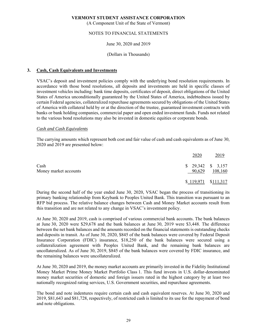(A Component Unit of the State of Vermont)

# NOTES TO FINANCIAL STATEMENTS

### June 30, 2020 and 2019

#### (Dollars in Thousands)

### **3. Cash, Cash Equivalents and Investments**

VSAC's deposit and investment policies comply with the underlying bond resolution requirements. In accordance with those bond resolutions, all deposits and investments are held in specific classes of investment vehicles including: bank time deposits, certificates of deposit, direct obligations of the United States of America unconditionally guaranteed by the United States of America, indebtedness issued by certain Federal agencies, collateralized repurchase agreements secured by obligations of the United States of America with collateral held by or at the direction of the trustee, guaranteed investment contracts with banks or bank holding companies, commercial paper and open ended investment funds. Funds not related to the various bond resolutions may also be invested in domestic equities or corporate bonds.

#### *Cash and Cash Equivalents*

The carrying amounts which represent both cost and fair value of cash and cash equivalents as of June 30, 2020 and 2019 are presented below:

|                               | 2020                  | 2019                          |
|-------------------------------|-----------------------|-------------------------------|
| Cash<br>Money market accounts | 90,629                | $$29,342$ $$3,157$<br>108,160 |
|                               | $$119,971$ $$111,317$ |                               |

During the second half of the year ended June 30, 2020, VSAC began the process of transitioning its primary banking relationship from Keybank to Peoples United Bank. This transition was pursuant to an RFP bid process. The relative balance changes between Cash and Money Market accounts result from this transition and are not related to any change in VSAC's investment policy.

At June 30, 2020 and 2019, cash is comprised of various commercial bank accounts. The bank balances at June 30, 2020 were \$29,678 and the bank balances at June 30, 2019 were \$3,448. The difference between the net bank balances and the amounts recorded on the financial statements is outstanding checks and deposits in transit. As of June 30, 2020, \$845 of the bank balances were covered by Federal Deposit Insurance Corporation (FDIC) insurance, \$18,250 of the bank balances were secured using a collateralization agreement with Peoples United Bank, and the remaining bank balances are uncollateralized. As of June 30, 2019, \$845 of the bank balances were covered by FDIC insurance, and the remaining balances were uncollateralized.

At June 30, 2020 and 2019, the money market accounts are primarily invested in the Fidelity Institutional Money Market Prime Money Market Portfolio Class 1. This fund invests in U.S. dollar-denominated money market securities of domestic and foreign issuers rated in the highest category by at least two nationally recognized rating services, U.S. Government securities, and repurchase agreements.

The bond and note indentures require certain cash and cash equivalent reserves. At June 30, 2020 and 2019, \$81,643 and \$81,728, respectively, of restricted cash is limited to its use for the repayment of bond and note obligations.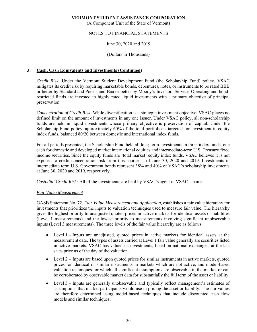(A Component Unit of the State of Vermont)

# NOTES TO FINANCIAL STATEMENTS

### June 30, 2020 and 2019

### (Dollars in Thousands)

### **3. Cash, Cash Equivalents and Investments (Continued)**

*Credit Risk*: Under the Vermont Student Development Fund (the Scholarship Fund) policy, VSAC mitigates its credit risk by requiring marketable bonds, debentures, notes, or instruments to be rated BBB or better by Standard and Poor's and Baa or better by Moody's Investors Service. Operating and bondrestricted funds are invested in highly rated liquid investments with a primary objective of principal preservation.

*Concentration of Credit Risk*: While diversification is a strategic investment objective, VSAC places no defined limit on the amount of investments in any one issuer. Under VSAC policy, all non-scholarship funds are held in liquid investments whose primary objective is preservation of capital. Under the Scholarship Fund policy, approximately 60% of the total portfolio is targeted for investment in equity index funds, balanced 80/20 between domestic and international index funds.

For all periods presented, the Scholarship Fund held all long-term investments in three index funds, one each for domestic and developed market international equities and intermediate-term U.S. Treasury fixed income securities. Since the equity funds are 'total market' equity index funds, VSAC believes it is not exposed to credit concentration risk from this source as of June 30, 2020 and 2019. Investments in intermediate term U.S. Government bonds represent 38% and 40% of VSAC's scholarship investments at June 30, 2020 and 2019, respectively.

*Custodial Credit Risk:* All of the investments are held by VSAC's agent in VSAC's name.

### *Fair Value Measurement*

GASB Statement No. 72, *Fair Value Measurement and Application,* establishes a fair value hierarchy for investments that prioritizes the inputs to valuation techniques used to measure fair value. The hierarchy gives the highest priority to unadjusted quoted prices in active markets for identical assets or liabilities (Level 1 measurements) and the lowest priority to measurements involving significant unobservable inputs (Level 3 measurements). The three levels of the fair value hierarchy are as follows:

- Level 1 Inputs are unadjusted, quoted prices in active markets for identical assets at the measurement date. The types of assets carried at Level 1 fair value generally are securities listed in active markets. VSAC has valued its investments, listed on national exchanges, at the last sales price as of the day of the valuation.
- Level  $2$  Inputs are based upon quoted prices for similar instruments in active markets, quoted prices for identical or similar instruments in markets which are not active, and model-based valuation techniques for which all significant assumptions are observable in the market or can be corroborated by observable market data for substantially the full term of the asset or liability.
- Level 3 Inputs are generally unobservable and typically reflect management's estimates of assumptions that market participants would use in pricing the asset or liability. The fair values are therefore determined using model-based techniques that include discounted cash flow models and similar techniques.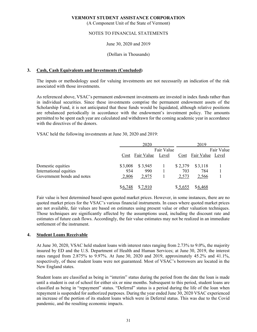(A Component Unit of the State of Vermont)

# NOTES TO FINANCIAL STATEMENTS

### June 30, 2020 and 2019

#### (Dollars in Thousands)

### **3. Cash, Cash Equivalents and Investments (Concluded)**

The inputs or methodology used for valuing investments are not necessarily an indication of the risk associated with those investments.

As referenced above, VSAC's permanent endowment investments are invested in index funds rather than in individual securities. Since these investments comprise the permanent endowment assets of the Scholarship Fund, it is not anticipated that these funds would be liquidated, although relative positions are rebalanced periodically in accordance with the endowment's investment policy. The amounts permitted to be spent each year are calculated and withdrawn for the coming academic year in accordance with the directives of the donors.

VSAC held the following investments at June 30, 2020 and 2019:

|                            |         | 2020       |            |         | 2019             |            |
|----------------------------|---------|------------|------------|---------|------------------|------------|
|                            |         |            | Fair Value |         |                  | Fair Value |
|                            | Cost    | Fair Value | Level      | Cost    | Fair Value Level |            |
| Domestic equities          | \$3,008 | \$3,945    |            | \$2,379 | \$3,118          |            |
| International equities     | 934     | 990        |            | 703     | 784              |            |
| Government bonds and notes | 2,806   | 2,975      |            | 2,573   | 2,566            |            |
|                            | \$6,748 | \$7,910    |            | \$5,655 | \$6,468          |            |

Fair value is best determined based upon quoted market prices. However, in some instances, there are no quoted market prices for the VSAC's various financial instruments. In cases where quoted market prices are not available, fair values are based on estimates using present value or other valuation techniques. Those techniques are significantly affected by the assumptions used, including the discount rate and estimates of future cash flows. Accordingly, the fair value estimates may not be realized in an immediate settlement of the instrument.

### **4. Student Loans Receivable**

At June 30, 2020, VSAC held student loans with interest rates ranging from 2.73% to 9.0%, the majority insured by ED and the U.S. Department of Health and Human Services; at June 30, 2019, the interest rates ranged from 2.875% to 9.97%. At June 30, 2020 and 2019, approximately 45.2% and 41.1%, respectively, of these student loans were not guaranteed. Most of VSAC's borrowers are located in the New England states.

Student loans are classified as being in "interim" status during the period from the date the loan is made until a student is out of school for either six or nine months. Subsequent to this period, student loans are classified as being in "repayment" status. "Deferral" status is a period during the life of the loan when repayment is suspended for authorized purposes. During the year ended June 30, 2020 VSAC experienced an increase of the portion of its student loans which were in Deferral status. This was due to the Covid pandemic, and the resulting economic impacts.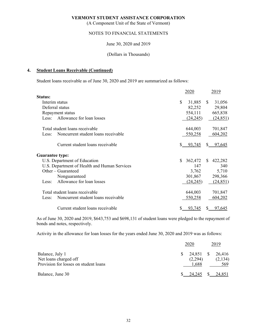(A Component Unit of the State of Vermont)

### NOTES TO FINANCIAL STATEMENTS

### June 30, 2020 and 2019

### (Dollars in Thousands)

### **4. Student Loans Receivable (Continued)**

Student loans receivable as of June 30, 2020 and 2019 are summarized as follows:

|                        |                                              |              | 2020     |              | 2019          |
|------------------------|----------------------------------------------|--------------|----------|--------------|---------------|
| Status:                |                                              |              |          |              |               |
| Interim status         |                                              | $\mathbb{S}$ | 31,885   | <sup>S</sup> | 31,056        |
| Deferral status        |                                              |              | 82,252   |              | 29,804        |
| Repayment status       |                                              |              | 554,111  |              | 665,838       |
| Less:                  | Allowance for loan losses                    |              | (24,245) |              | (24, 851)     |
|                        | Total student loans receivable               |              | 644,003  |              | 701,847       |
| Less:                  | Noncurrent student loans receivable          |              | 550,258  |              | 604,202       |
|                        | Current student loans receivable             | \$           | 93,745   | \$           | <u>97,645</u> |
| <b>Guarantee type:</b> |                                              |              |          |              |               |
|                        | U.S. Department of Education                 |              | 362,472  | S.           | 422,282       |
|                        | U.S. Department of Health and Human Services |              | 147      |              | 340           |
| Other – Guaranteed     |                                              |              | 3,762    |              | 5,710         |
|                        | Nonguaranteed                                |              | 301,867  |              | 298,366       |
| Less:                  | Allowance for loan losses                    |              | (24,245) |              | (24, 851)     |
|                        | Total student loans receivable               |              | 644,003  |              | 701,847       |
| Less:                  | Noncurrent student loans receivable          |              | 550,258  |              | 604,202       |
|                        | Current student loans receivable             | $S_{-}$      | 93,745   |              | \$ 97,645     |

As of June 30, 2020 and 2019, \$643,753 and \$698,131 of student loans were pledged to the repayment of bonds and notes, respectively.

Activity in the allowance for loan losses for the years ended June 30, 2020 and 2019 was as follows:

|                                                                                   | 2020                          | 2019                     |
|-----------------------------------------------------------------------------------|-------------------------------|--------------------------|
| Balance, July 1<br>Net loans charged off<br>Provision for losses on student loans | 24,851 \$<br>(2,294)<br>1.688 | 26,416<br>(2,134)<br>569 |
| Balance, June 30                                                                  | 24,245                        | 24,851                   |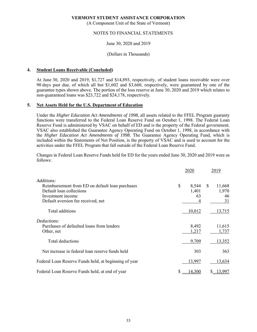(A Component Unit of the State of Vermont)

### NOTES TO FINANCIAL STATEMENTS

### June 30, 2020 and 2019

#### (Dollars in Thousands)

#### **4. Student Loans Receivable (Concluded)**

At June 30, 2020 and 2019, \$1,727 and \$14,893, respectively, of student loans receivable were over 90 days past due, of which all but \$1,602 and \$3,660, respectively, were guaranteed by one of the guarantee types shown above. The portion of the loss reserve at June 30, 2020 and 2019 which relates to non-guaranteed loans was \$23,722 and \$24,178, respectively.

#### **5. Net Assets Held for the U.S. Department of Education**

Under the *Higher Education Act Amendments of 1998*, all assets related to the FFEL Program guaranty functions were transferred to the Federal Loan Reserve Fund on October 1, 1998. The Federal Loan Reserve Fund is administered by VSAC on behalf of ED and is the property of the Federal government. VSAC also established the Guarantee Agency Operating Fund on October 1, 1998, in accordance with the *Higher Education Act Amendments of 1998*. The Guarantee Agency Operating Fund, which is included within the Statements of Net Position, is the property of VSAC and is used to account for the activities under the FFEL Program that fall outside of the Federal Loan Reserve Fund.

Changes in Federal Loan Reserve Funds held for ED for the years ended June 30, 2020 and 2019 were as follows:

|                                                       | 2020          |               | 2019   |
|-------------------------------------------------------|---------------|---------------|--------|
| Additions:                                            |               |               |        |
| Reimbursement from ED on default loan purchases       | \$<br>8,544   | <sup>\$</sup> | 11,668 |
| Default loan collections                              | 1,401         |               | 1,970  |
| Investment income                                     | 63            |               | 46     |
| Default aversion fee received, net                    |               |               | 31     |
| Total additions                                       | 10,012        |               | 13,715 |
| Deductions:                                           |               |               |        |
| Purchases of defaulted loans from lenders             | 8,492         |               | 11,615 |
| Other, net                                            | 1,217         |               | 1,737  |
| Total deductions                                      | 9,709         |               | 13,352 |
| Net increase in federal loan reserve funds held       | 303           |               | 363    |
| Federal Loan Reserve Funds held, at beginning of year | 13,997        |               | 13,634 |
| Federal Loan Reserve Funds held, at end of year       | <u>14,300</u> |               | 13,997 |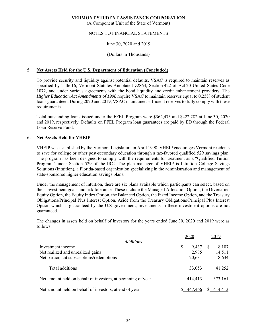(A Component Unit of the State of Vermont)

### NOTES TO FINANCIAL STATEMENTS

### June 30, 2020 and 2019

#### (Dollars in Thousands)

### **5. Net Assets Held for the U.S. Department of Education (Concluded)**

To provide security and liquidity against potential defaults, VSAC is required to maintain reserves as specified by Title 16, Vermont Statutes Annotated §2864, Section 422 of Act 20 United States Code 1072, and under various agreements with the bond liquidity and credit enhancement providers. The *Higher Education Act Amendments of 1998* require VSAC to maintain reserves equal to 0.25% of student loans guaranteed. During 2020 and 2019, VSAC maintained sufficient reserves to fully comply with these requirements.

Total outstanding loans issued under the FFEL Program were \$362,473 and \$422,282 at June 30, 2020 and 2019, respectively. Defaults on FFEL Program loan guarantees are paid by ED through the Federal Loan Reserve Fund.

#### **6. Net Assets Held for VHEIP**

VHEIP was established by the Vermont Legislature in April 1998. VHEIP encourages Vermont residents to save for college or other post-secondary education through a tax-favored qualified 529 savings plan. The program has been designed to comply with the requirements for treatment as a "Qualified Tuition Program" under Section 529 of the IRC. The plan manager of VHEIP is Intuition College Savings Solutions (Intuition), a Florida-based organization specializing in the administration and management of state-sponsored higher education savings plans.

Under the management of Intuition, there are six plans available which participants can select, based on their investment goals and risk tolerance. These include the Managed Allocation Option, the Diversified Equity Option, the Equity Index Option, the Balanced Option, the Fixed Income Option, and the Treasury Obligations/Principal Plus Interest Option. Aside from the Treasury Obligations/Principal Plus Interest Option which is guaranteed by the U.S government, investments in these investment options are not guaranteed.

The changes in assets held on behalf of investors for the years ended June 30, 2020 and 2019 were as follows:

|                                                              | 2020        | 2019    |
|--------------------------------------------------------------|-------------|---------|
| Additions:                                                   |             |         |
| Investment income                                            | \$<br>9,437 | 8,107   |
| Net realized and unrealized gains                            | 2,985       | 14,511  |
| Net participant subscriptions/redemptions                    | 20,631      | 18,634  |
|                                                              |             |         |
| Total additions                                              | 33,053      | 41,252  |
|                                                              |             |         |
| Net amount held on behalf of investors, at beginning of year | 414,413     | 373,161 |
|                                                              |             |         |
| Net amount held on behalf of investors, at end of year       | 447,466     | 414.413 |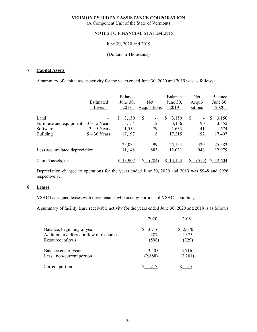(A Component Unit of the State of Vermont)

# NOTES TO FINANCIAL STATEMENTS

### June 30, 2020 and 2019

### (Dollars in Thousands)

### **7. Capital Assets**

A summary of capital assets activity for the years ended June 30, 2020 and 2019 was as follows:

|                                                                | Estimated<br>Lives                                | Balance<br>June 30,<br>2018             | Net<br>Acquisitions      | Balance<br>June 30,<br>2019            | <b>Net</b><br>Acqui-<br>sitions | Balance<br>June $30$ ,<br>2020         |
|----------------------------------------------------------------|---------------------------------------------------|-----------------------------------------|--------------------------|----------------------------------------|---------------------------------|----------------------------------------|
| Land<br>Furniture and equipment<br>Software<br><b>Building</b> | $3 - 15$ Years<br>$3 - 5$ Years<br>$5 - 30$ Years | \$<br>3,150<br>3,154<br>1,554<br>17,197 | \$<br>-<br>2<br>79<br>18 | S<br>3,150<br>3,156<br>1,633<br>17,215 | S<br>۰<br>196<br>41<br>192      | S<br>3,150<br>3,352<br>1,674<br>17,407 |
| Less accumulated depreciation<br>Capital assets, net           |                                                   | 25,055<br>11,148<br>\$13,907            | 99<br>883<br>(784        | 25,154<br>12,031<br>\$13,123           | 429<br>948<br>(519)             | 25,583<br>12,979<br>\$12,604           |

Depreciation charged to operations for the years ended June 30, 2020 and 2019 was \$948 and \$926, respectively.

### **8. Leases**

VSAC has signed leases with three tenants who occupy portions of VSAC's building.

A summary of facility lease receivable activity for the years ended June 30, 2020 and 2019 is as follows:

|                                          | 2020    | 2019     |
|------------------------------------------|---------|----------|
| Balance, beginning of year               | 3,716   | \$ 2,670 |
| Addition to deferred inflow of resources | 287     | 1,375    |
| Resource inflows                         | (598)   | (329)    |
| Balance end of year                      | 3,405   | 3,716    |
| Less: non-current portion                | (2,688) | (3,201)  |
| Current portion                          |         |          |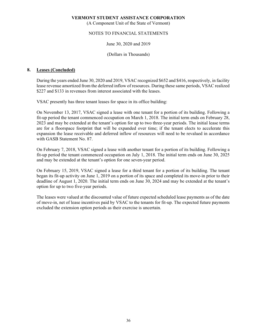(A Component Unit of the State of Vermont)

### NOTES TO FINANCIAL STATEMENTS

### June 30, 2020 and 2019

#### (Dollars in Thousands)

### **8. Leases (Concluded)**

During the years ended June 30, 2020 and 2019, VSAC recognized \$652 and \$416, respectively, in facility lease revenue amortized from the deferred inflow of resources. During these same periods, VSAC realized \$227 and \$133 in revenues from interest associated with the leases.

VSAC presently has three tenant leases for space in its office building:

 On November 13, 2017, VSAC signed a lease with one tenant for a portion of its building. Following a fit-up period the tenant commenced occupation on March 1, 2018. The initial term ends on February 28, 2023 and may be extended at the tenant's option for up to two three-year periods. The initial lease terms are for a floorspace footprint that will be expanded over time; if the tenant elects to accelerate this expansion the lease receivable and deferred inflow of resources will need to be revalued in accordance with GASB Statement No. 87.

 On February 7, 2018, VSAC signed a lease with another tenant for a portion of its building. Following a fit-up period the tenant commenced occupation on July 1, 2018. The initial term ends on June 30, 2025 and may be extended at the tenant's option for one seven-year period.

 On February 15, 2019, VSAC signed a lease for a third tenant for a portion of its building. The tenant began its fit-up activity on June 1, 2019 on a portion of its space and completed its move-in prior to their deadline of August 1, 2020. The initial term ends on June 30, 2024 and may be extended at the tenant's option for up to two five-year periods.

 The leases were valued at the discounted value of future expected scheduled lease payments as of the date of move-in, net of lease incentives paid by VSAC to the tenants for fit-up. The expected future payments excluded the extension option periods as their exercise is uncertain.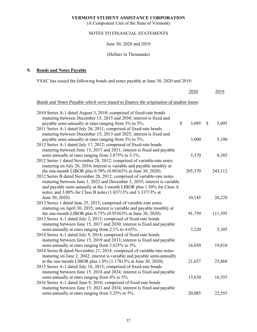(A Component Unit of the State of Vermont)

# NOTES TO FINANCIAL STATEMENTS

### June 30, 2020 and 2019

# (Dollars in Thousands)

# **9. Bonds and Notes Payable**

VSAC has issued the following bonds and notes payable at June 30, 2020 and 2019:

|                                                                                        |      | 2020    | 2019        |
|----------------------------------------------------------------------------------------|------|---------|-------------|
| Bonds and Notes Payable which were issued to finance the origination of student loans: |      |         |             |
| 2010 Series A-1 dated August 3, 2010; comprised of fixed-rate bonds                    |      |         |             |
| maturing between December 15, 2015 and 2030; interest is fixed and                     |      |         |             |
| payable semi-annually at rates ranging from 3% to 5%.                                  | $\$$ | 3,095   | \$<br>5,095 |
| 2011 Series A-1 dated July 26, 2011; comprised of fixed-rate bonds                     |      |         |             |
| maturing between December 15, 2013 and 2025; interest is fixed and                     |      |         |             |
| payable semi-annually at rates ranging from 3% to 5%.                                  |      | 3,600   | 5,100       |
| 2012 Series A-1 dated July 17, 2012; comprised of fixed-rate bonds                     |      |         |             |
| maturing between June 15, 2017 and 2031; interest is fixed and payable                 |      |         |             |
| semi-annually at rates ranging from 2.875% to 5.1%.                                    |      | 5,370   | 8,385       |
| 2012 Series 1 dated November 28, 2012; comprised of variable-rate notes                |      |         |             |
| maturing on July 28, 2034; interest is variable and payable monthly at                 |      |         |             |
| the one-month LIBOR plus 0.70% (0.88363% at June 30, 2020).                            |      | 205,370 | 243,112     |
| 2012 Series B dated November 28, 2012; comprised of variable-rate notes                |      |         |             |
| maturing between June 1, 2022 and December 3, 2035; interest is variable               |      |         |             |
| and payable semi-annually at the 3-month LIBOR plus 1.50% for Class A                  |      |         |             |
| notes, and 3.00% for Class B notes (1.83713% and 3.33713% at                           |      |         |             |
| June 30, 2020).                                                                        |      | 10,145  | 26,228      |
| 2013 Series 1 dated June 25, 2013; comprised of variable-rate notes                    |      |         |             |
| maturing on April 30, 2035; interest is variable and payable monthly at                |      |         |             |
| the one-month LIBOR plus 0.75% (0.93363% at June 30, 2020).                            |      | 91,759  | 111,395     |
| 2013 Series A-1 dated July 2, 2013; comprised of fixed-rate bonds                      |      |         |             |
| maturing between June 15, 2017 and 2030; interest is fixed and payable                 |      |         |             |
| semi-annually at rates ranging from 2.1% to 4.65%.                                     |      | 3,220   | 5,305       |
| 2014 Series A-1 dated July 9, 2014; comprised of fixed-rate bonds                      |      |         |             |
| maturing between June 15, 2019 and 2033; interest is fixed and payable                 |      |         |             |
| semi-annually at rates ranging from 3.625% to 5%.                                      |      | 16,030  | 19,810      |
| 2014 Series B dated November 21, 2014; comprised of variable-rate notes                |      |         |             |
| maturing on June 2, 2042; interest is variable and payable semi-annually               |      |         |             |
| at the one-month LIBOR plus 1.0% (1.17813% at June 30, 2020).                          |      | 21,657  | 25,868      |
| 2015 Series A-1 dated July 16, 2015; comprised of fixed-rate bonds                     |      |         |             |
| maturing between June 15, 2018 and 2034; interest is fixed and payable                 |      |         |             |
| semi-annually at rates ranging from 4% to 5%.                                          |      | 13,630  | 16,555      |
| 2016 Series A-1 dated June 9, 2016; comprised of fixed-rate bonds                      |      |         |             |
| maturing between June 15, 2021 and 2034; interest is fixed and payable                 |      |         |             |
| semi-annually at rates ranging from 3.25% to 5%.                                       |      | 20,085  | 22,555      |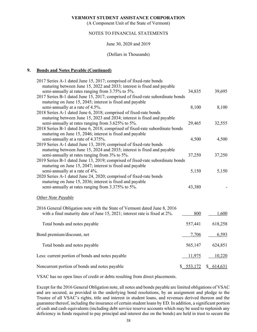(A Component Unit of the State of Vermont)

### NOTES TO FINANCIAL STATEMENTS

### June 30, 2020 and 2019

#### (Dollars in Thousands)

### **9. Bonds and Notes Payable (Continued)**

| 2017 Series A-1 dated June 15, 2017; comprised of fixed-rate bonds             |            |           |
|--------------------------------------------------------------------------------|------------|-----------|
| maturing between June 15, 2022 and 2033; interest is fixed and payable         |            |           |
| semi-annually at rates ranging from 3.75% to 5%.                               | 34,835     | 39,695    |
| 2017 Series B-1 dated June 15, 2017; comprised of fixed-rate subordinate bonds |            |           |
| maturing on June 15, 2045; interest is fixed and payable                       |            |           |
| semi-annually at a rate of 4.5%.                                               | 8,100      | 8,100     |
| 2018 Series A-1 dated June 6, 2018; comprised of fixed-rate bonds              |            |           |
| maturing between June 15, 2023 and 2034; interest is fixed and payable         |            |           |
| semi-annually at rates ranging from 3.625% to 5%.                              | 29,465     | 32,555    |
| 2018 Series B-1 dated June 6, 2018; comprised of fixed-rate subordinate bonds  |            |           |
| maturing on June 15, 2046; interest is fixed and payable                       |            |           |
| semi-annually at a rate of 4.375%.                                             | 4,500      | 4,500     |
| 2019 Series A-1 dated June 13, 2019; comprised of fixed-rate bonds             |            |           |
| maturing between June 15, 2024 and 2035; interest is fixed and payable         |            |           |
| semi-annually at rates ranging from 3% to 5%.                                  | 37,250     | 37,250    |
| 2019 Series B-1 dated June 13, 2019; comprised of fixed-rate subordinate bonds |            |           |
| maturing on June 15, 2047; interest is fixed and payable                       |            |           |
| semi-annually at a rate of 4%.                                                 | 5,150      | 5,150     |
| 2020 Series A-1 dated June 24, 2020; comprised of fixed-rate bonds             |            |           |
| maturing on June 15, 2036; interest is fixed and payable                       |            |           |
| semi-annually at rates ranging from 3.375% to 5%.                              | 43,380     |           |
|                                                                                |            |           |
| <b>Other Note Payable</b>                                                      |            |           |
|                                                                                |            |           |
| 2016 General Obligation note with the State of Vermont dated June 8, 2016      |            |           |
| with a final maturity date of June 15, 2021; interest rate is fixed at 2%.     | 800        | 1,600     |
|                                                                                |            |           |
| Total bonds and notes payable                                                  | 557,441    | 618,258   |
|                                                                                |            |           |
| Bond premium/discount, net                                                     | 7,706      | 6,593     |
|                                                                                |            |           |
| Total bonds and notes payable                                                  | 565,147    | 624,851   |
|                                                                                |            |           |
| Less: current portion of bonds and notes payable                               | 11,975     | 10,220    |
|                                                                                |            |           |
| Noncurrent portion of bonds and notes payable                                  | \$ 553,172 | \$614,631 |
|                                                                                |            |           |

VSAC has no open lines of credit or debts resulting from direct placements.

Except for the 2016 General Obligation note, all notes and bonds payable are limited obligations of VSAC and are secured, as provided in the underlying bond resolutions, by an assignment and pledge to the Trustee of all VSAC's rights, title and interest in student loans, and revenues derived thereon and the guarantee thereof, including the insurance of certain student loans by ED. In addition, a significant portion of cash and cash equivalents (including debt service reserve accounts which may be used to replenish any deficiency in funds required to pay principal and interest due on the bonds) are held in trust to secure the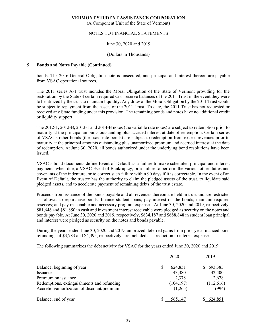(A Component Unit of the State of Vermont)

### NOTES TO FINANCIAL STATEMENTS

### June 30, 2020 and 2019

(Dollars in Thousands)

### **9. Bonds and Notes Payable (Continued)**

bonds. The 2016 General Obligation note is unsecured, and principal and interest thereon are payable from VSAC operational sources.

The 2011 series A-1 trust includes the Moral Obligation of the State of Vermont providing for the restoration by the State of certain required cash reserve balances of the 2011 Trust in the event they were to be utilized by the trust to maintain liquidity. Any draw of the Moral Obligation by the 2011 Trust would be subject to repayment from the assets of the 2011 Trust. To date, the 2011 Trust has not requested or received any State funding under this provision. The remaining bonds and notes have no additional credit or liquidity support.

The 2012-1, 2012-B, 2013-1 and 2014-B notes (the variable rate notes) are subject to redemption prior to maturity at the principal amounts outstanding plus accrued interest at date of redemption. Certain series of VSAC's other bonds (the fixed rate bonds) are subject to redemption from excess revenues prior to maturity at the principal amounts outstanding plus unamortized premium and accrued interest at the date of redemption. At June 30, 2020, all bonds authorized under the underlying bond resolutions have been issued.

VSAC's bond documents define Event of Default as a failure to make scheduled principal and interest payments when due, a VSAC Event of Bankruptcy, or a failure to perform the various other duties and covenants of the indenture, or to correct such failure within 90 days if it is correctable. In the event of an Event of Default, the trustee has the authority to claim the pledged assets of the trust, to liquidate said pledged assets, and to accelerate payment of remaining debts of the trust estate.

Proceeds from issuance of the bonds payable and all revenues thereon are held in trust and are restricted as follows: to repurchase bonds; finance student loans; pay interest on the bonds; maintain required reserves; and pay reasonable and necessary program expenses. At June 30, 2020 and 2019, respectively, \$81,646 and \$81,850 in cash and investment interest receivable were pledged as security on the notes and bonds payable. At June 30, 2020 and 2019, respectively, \$634,187 and \$688,848 in student loan principal and interest were pledged as security on the notes and bonds payable.

During the years ended June 30, 2020 and 2019, amortized deferred gains from prior year financed bond refundings of \$3,783 and \$4,395, respectively, are included as a reduction to interest expense.

The following summarizes the debt activity for VSAC for the years ended June 30, 2020 and 2019:

|                                            | 2020       | 2019       |
|--------------------------------------------|------------|------------|
| Balance, beginning of year                 | 624,851    | 693,383    |
| Issuance                                   | 43,380     | 42,400     |
| Premium on issuance                        | 2,378      | 2,678      |
| Redemptions, extinguishments and refunding | (104, 197) | (112, 616) |
| Accretion/amortization of discount/premium | (1,265)    | (994)      |
| Balance, end of year                       |            | 624,851    |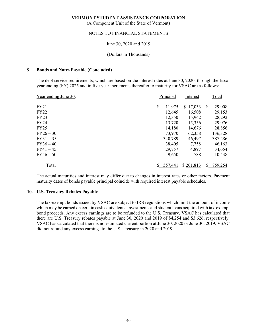(A Component Unit of the State of Vermont)

### NOTES TO FINANCIAL STATEMENTS

### June 30, 2020 and 2019

#### (Dollars in Thousands)

#### **9. Bonds and Notes Payable (Concluded)**

The debt service requirements, which are based on the interest rates at June 30, 2020, through the fiscal year ending (FY) 2025 and in five-year increments thereafter to maturity for VSAC are as follows:

| Year ending June 30, | Principal    | Interest     |    | Total   |
|----------------------|--------------|--------------|----|---------|
| FY21                 | \$<br>11,975 | 17,033<br>S. | S  | 29,008  |
| FY22                 | 12,645       | 16,508       |    | 29,153  |
| FY23                 | 12,350       | 15,942       |    | 28,292  |
| FY24                 | 13,720       | 15,356       |    | 29,076  |
| FY25                 | 14,180       | 14,676       |    | 28,856  |
| $FY26-30$            | 73,970       | 62,358       |    | 136,328 |
| FY31 – 35            | 340,789      | 46,497       |    | 387,286 |
| $FY36 - 40$          | 38,405       | 7,758        |    | 46,163  |
| FY41 – 45            | 29,757       | 4,897        |    | 34,654  |
| $FY46-50$            | 9,650        | 788          |    | 10,438  |
| Total                | \$ 557,441   | \$201,813    | S. | 759,254 |

The actual maturities and interest may differ due to changes in interest rates or other factors. Payment maturity dates of bonds payable principal coincide with required interest payable schedules.

#### **10. U.S. Treasury Rebates Payable**

The tax-exempt bonds issued by VSAC are subject to IRS regulations which limit the amount of income which may be earned on certain cash equivalents, investments and student loans acquired with tax-exempt bond proceeds. Any excess earnings are to be refunded to the U.S. Treasury. VSAC has calculated that there are U.S. Treasury rebates payable at June 30, 2020 and 2019 of \$4,254 and \$3,626, respectively. VSAC has calculated that there is no estimated current portion at June 30, 2020 or June 30, 2019. VSAC did not refund any excess earnings to the U.S. Treasury in 2020 and 2019.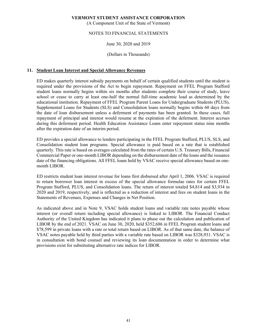(A Component Unit of the State of Vermont)

### NOTES TO FINANCIAL STATEMENTS

### June 30, 2020 and 2019

#### (Dollars in Thousands)

### **11. Student Loan Interest and Special Allowance Revenues**

ED makes quarterly interest subsidy payments on behalf of certain qualified students until the student is required under the provisions of the Act to begin repayment. Repayment on FFEL Program Stafford student loans normally begins within six months after students complete their course of study, leave school or cease to carry at least one-half the normal full-time academic load as determined by the educational institution. Repayment of FFEL Program Parent Loans for Undergraduate Students (PLUS), Supplemental Loans for Students (SLS) and Consolidation loans normally begins within 60 days from the date of loan disbursement unless a deferment of payments has been granted. In these cases, full repayment of principal and interest would resume at the expiration of the deferment. Interest accrues during this deferment period. Health Education Assistance Loans enter repayment status nine months after the expiration date of an interim period.

ED provides a special allowance to lenders participating in the FFEL Program Stafford, PLUS, SLS, and Consolidation student loan programs. Special allowance is paid based on a rate that is established quarterly. This rate is based on averages calculated from the rates of certain U.S. Treasury Bills, Financial Commercial Paper or one-month LIBOR depending on the disbursement date of the loans and the issuance date of the financing obligations. All FFEL loans held by VSAC receive special allowance based on onemonth LIBOR.

ED restricts student loan interest revenue for loans first disbursed after April 1, 2006. VSAC is required to return borrower loan interest in excess of the special allowance formulae rates for certain FFEL Program Stafford, PLUS, and Consolidation loans. The return of interest totaled \$4,814 and \$3,934 in 2020 and 2019, respectively, and is reflected as a reduction of interest and fees on student loans in the Statements of Revenues, Expenses and Changes in Net Position.

As indicated above and in Note 9, VSAC holds student loans and variable rate notes payable whose interest (or overall return including special allowance) is linked to LIBOR. The Financial Conduct Authority of the United Kingdom has indicated it plans to phase out the calculation and publication of LIBOR by the end of 2021. VSAC on June 30, 2020, held \$352,686 in FFEL Program student loans and \$78,599 in private loans with a rate or total return based on LIBOR. As of that same date, the balance of VSAC notes payable held by third parties with a variable rate based on LIBOR was \$328,931. VSAC is in consultation with bond counsel and reviewing its loan documentation in order to determine what provisions exist for substituting alternative rate indices for LIBOR.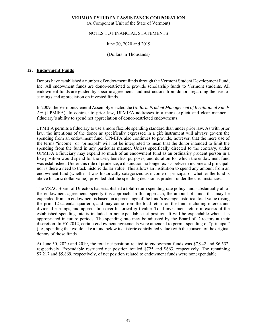(A Component Unit of the State of Vermont)

### NOTES TO FINANCIAL STATEMENTS

### June 30, 2020 and 2019

(Dollars in Thousands)

### **12. Endowment Funds**

Donors have established a number of endowment funds through the Vermont Student Development Fund, Inc. All endowment funds are donor-restricted to provide scholarship funds to Vermont students. All endowment funds are guided by specific agreements and instructions from donors regarding the uses of earnings and appreciation on invested funds.

In 2009, the Vermont General Assembly enacted the *Uniform Prudent Management of Institutional Funds Act* (UPMIFA). In contrast to prior law, UPMIFA addresses in a more explicit and clear manner a fiduciary's ability to spend net appreciation of donor-restricted endowments.

UPMIFA permits a fiduciary to use a more flexible spending standard than under prior law. As with prior law, the intentions of the donor as specifically expressed in a gift instrument will always govern the spending from an endowment fund. UPMIFA also continues to provide, however, that the mere use of the terms "income" or "principal" will not be interpreted to mean that the donor intended to limit the spending from the fund in any particular manner. Unless specifically directed to the contrary, under UPMIFA a fiduciary may expend so much of an endowment fund as an ordinarily prudent person in a like position would spend for the uses, benefits, purposes, and duration for which the endowment fund was established. Under this rule of prudence, a distinction no longer exists between income and principal, nor is there a need to track historic dollar value. This allows an institution to spend any amount from an endowment fund (whether it was historically categorized as income or principal or whether the fund is above historic dollar value), provided that the spending decision is prudent under the circumstances.

The VSAC Board of Directors has established a total-return spending rate policy, and substantially all of the endowment agreements specify this approach. In this approach, the amount of funds that may be expended from an endowment is based on a percentage of the fund's average historical total value (using the prior 12 calendar quarters), and may come from the total return on the fund, including interest and dividend earnings, and appreciation over historical gift value. Total investment return in excess of the established spending rate is included in nonexpendable net position. It will be expendable when it is appropriated in future periods. The spending rate may be adjusted by the Board of Directors at their discretion. In FY 2012, certain endowment agreements were amended to permit spending of "principal" (i.e., spending that would take a fund below its historic contributed value) with the consent of the original donors of those funds.

At June 30, 2020 and 2019, the total net position related to endowment funds was \$7,942 and \$6,532, respectively. Expendable restricted net position totaled \$725 and \$663, respectively. The remaining \$7,217 and \$5,869, respectively, of net position related to endowment funds were nonexpendable.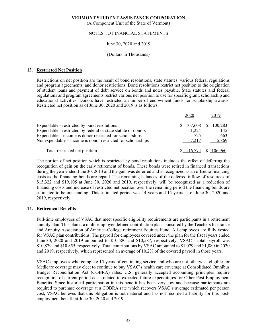(A Component Unit of the State of Vermont)

### NOTES TO FINANCIAL STATEMENTS

### June 30, 2020 and 2019

#### (Dollars in Thousands)

### **13. Restricted Net Position**

Restrictions on net position are the result of bond resolutions, state statutes, various federal regulations and program agreements, and donor restrictions. Bond resolutions restrict net position to the origination of student loans and payment of debt service on bonds and notes payable. State statutes and federal regulations and program agreements restrict various net position to use for specific grant, scholarship and educational activities. Donors have restricted a number of endowment funds for scholarship awards. Restricted net position as of June 30, 2020 and 2019 is as follows:

|                                                               | 2020  | 2019                  |
|---------------------------------------------------------------|-------|-----------------------|
| Expendable - restricted by bond resolutions                   |       | $$107,608$ $$100,283$ |
| Expendable - restricted by federal or state statute or donors | 1,224 | 145                   |
| Expendable – income is donor restricted for scholarships      | 725   | 663                   |
| Nonexpendable – income is donor restricted for scholarships   | 7.217 | 5,869                 |
| Total restricted net position                                 |       | $$116,774$ $$106,960$ |

The portion of net position which is restricted by bond resolutions includes the effect of deferring the recognition of gain on the early retirement of bonds. These bonds were retired in financed transactions during the year ended June 30, 2013 and the gain was deferred and is recognized as an offset to financing costs as the financing bonds are repaid. The remaining balances of the deferred inflow of resources of \$15,322 and \$19,105 at June 30, 2020 and 2019, respectively, will be recognized as a reduction of financing costs and increase of restricted net position over the remaining period the financing bonds are estimated to be outstanding. This estimated period was 14 years and 15 years as of June 30, 2020 and 2019, respectively.

### **14. Retirement Benefits**

Full-time employees of VSAC that meet specific eligibility requirements are participants in a retirement annuity plan. This plan is a multi-employer defined contribution plan sponsored by the Teachers Insurance and Annuity Association of America-College retirement Equities Fund. All employees are fully vested for VSAC plan contributions. The payroll for employees covered under the plan for the fiscal years ended June 30, 2020 and 2019 amounted to \$10,580 and \$10,587, respectively; VSAC's total payroll was \$10,879 and \$10,855, respectively. Total contributions by VSAC amounted to \$1,079 and \$1,080 in 2020 and 2019, respectively, which represented an average of 10.2% of the covered payroll in those years.

VSAC employees who complete 15 years of continuing service and who are not otherwise eligible for Medicare coverage may elect to continue to buy VSAC's health care coverage at Consolidated Omnibus Budget Reconciliation Act (COBRA) rates. U.S. generally accepted accounting principles require recognition of current period costs related to expected future expenditures for Other Post-Employment Benefits. Since historical participation in this benefit has been very low and because participants are required to purchase coverage at a COBRA rate which recovers VSAC's average estimated per person cost, VSAC believes that this obligation is not material and has not recorded a liability for this postemployment benefit at June 30, 2020 and 2019.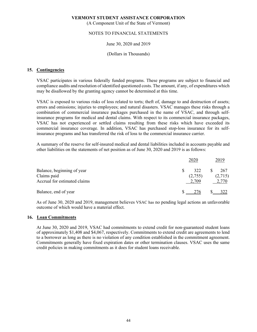(A Component Unit of the State of Vermont)

# NOTES TO FINANCIAL STATEMENTS

### June 30, 2020 and 2019

### (Dollars in Thousands)

#### **15. Contingencies**

VSAC participates in various federally funded programs. These programs are subject to financial and compliance audits and resolution of identified questioned costs. The amount, if any, of expenditures which may be disallowed by the granting agency cannot be determined at this time.

VSAC is exposed to various risks of loss related to torts; theft of, damage to and destruction of assets; errors and omissions; injuries to employees; and natural disasters. VSAC manages these risks through a combination of commercial insurance packages purchased in the name of VSAC, and through selfinsurance programs for medical and dental claims. With respect to its commercial insurance packages, VSAC has not experienced or settled claims resulting from these risks which have exceeded its commercial insurance coverage. In addition, VSAC has purchased stop-loss insurance for its selfinsurance programs and has transferred the risk of loss to the commercial insurance carrier.

A summary of the reserve for self-insured medical and dental liabilities included in accounts payable and other liabilities on the statements of net position as of June 30, 2020 and 2019 is as follows:

|                                                                           | 2020                    | 2019                                 |
|---------------------------------------------------------------------------|-------------------------|--------------------------------------|
| Balance, beginning of year<br>Claims paid<br>Accrual for estimated claims | 322<br>(2,755)<br>2,709 | $\frac{\$}{267}$<br>(2,715)<br>2,770 |
| Balance, end of year                                                      | 276                     | $\frac{1}{2}$ 322                    |

As of June 30, 2020 and 2019, management believes VSAC has no pending legal actions an unfavorable outcome of which would have a material effect.

#### **16. Loan Commitments**

At June 30, 2020 and 2019, VSAC had commitments to extend credit for non-guaranteed student loans of approximately \$1,408 and \$4,067, respectively. Commitments to extend credit are agreements to lend to a borrower as long as there is no violation of any condition established in the commitment agreement. Commitments generally have fixed expiration dates or other termination clauses. VSAC uses the same credit policies in making commitments as it does for student loans receivable.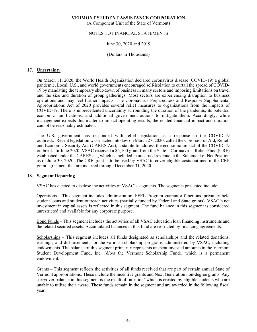(A Component Unit of the State of Vermont)

### NOTES TO FINANCIAL STATEMENTS

### June 30, 2020 and 2019

(Dollars in Thousands)

### **17. Uncertainty**

On March 11, 2020, the World Health Organization declared coronavirus disease (COVID-19) a global pandemic. Local, U.S., and world governments encouraged self-isolation to curtail the spread of COVID-19 by mandating the temporary shut-down of business in many sectors and imposing limitations on travel and the size and duration of group gatherings. Most sectors are experiencing disruption to business operations and may feel further impacts. The Coronavirus Preparedness and Response Supplemental Appropriations Act of 2020 provides several relief measures to organizations from the impacts of COVID-19. There is unprecedented uncertainty surrounding the duration of the pandemic, its potential economic ramifications, and additional government actions to mitigate them. Accordingly, while management expects this matter to impact operating results, the related financial impact and duration cannot be reasonably estimated.

The U.S. government has responded with relief legislation as a response to the COVID-19 outbreak. Recent legislation was enacted into law on March 27, 2020, called the Coronavirus Aid, Relief, and Economic Security Act (CARES Act), a statute to address the economic impact of the COVID-19 outbreak. In June 2020, VSAC received a \$5,100 grant from the State's Coronavirus Relief Fund (CRF) established under the CARES act, which is included in unearned revenue in the Statement of Net Position as of June 30, 2020. The CRF grant is to be used by VSAC to cover eligible costs outlined in the CRF grant agreement that are incurred through December 31, 2020.

#### **18. Segment Reporting**

VSAC has elected to disclose the activities of VSAC's segments. The segments presented include:

Operations – This segment includes administration, FFEL Program guarantor functions, privately-held student loans and student outreach activities (partially funded by Federal and State grants). VSAC's net investment in capital assets is reflected in this segment. The fund balance in this segment is considered unrestricted and available for any corporate purpose.

Bond Funds – This segment includes the activities of all VSAC education loan financing instruments and the related secured assets. Accumulated balances in this fund are restricted by financing agreements.

Scholarships – This segment includes all funds designated as scholarships and the related donations, earnings, and disbursements for the various scholarship programs administered by VSAC, including endowments. The balance of this segment primarily represents unspent invested amounts in the Vermont Student Development Fund, Inc. (d/b/a the Vermont Scholarship Fund), which is a permanent endowment.

Grants – This segment reflects the activities of all funds received that are part of certain annual State of Vermont appropriations. These include the incentive grants and Next Generation non-degree grants. Any carryover balance in this segment is the result of 'attrition' which is created by eligible students who are unable to utilize their award. These funds remain in the segment and are awarded in the following fiscal year.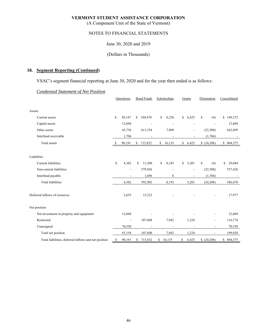(A Component Unit of the State of Vermont)

# NOTES TO FINANCIAL STATEMENTS

June 30, 2020 and 2019

# (Dollars in Thousands)

# **18. Segment Reporting (Continued)**

VSAC's segment financial reporting at June 30, 2020 and for the year then ended is as follows:

| <b>Condensed Statement of Net Position</b> |  |
|--------------------------------------------|--|
|                                            |  |

|                                                      | Operations |                          | <b>Bond Funds</b> |         | Scholarships |                | Grants |                          | Elimination              | Consolidated             |  |
|------------------------------------------------------|------------|--------------------------|-------------------|---------|--------------|----------------|--------|--------------------------|--------------------------|--------------------------|--|
| Assets                                               |            |                          |                   |         |              |                |        |                          |                          |                          |  |
| Current assets                                       | \$         | 30,147                   | \$                | 104,478 | $\mathbb{S}$ | 8,226          |        | \$6,425                  | \$<br>(4)                | \$149,272                |  |
| Capital assets                                       |            | 12,604                   |                   | ä,      |              |                |        | $\overline{\phantom{a}}$ |                          | 12,604                   |  |
| Other assets                                         |            | 45,736                   |                   | 611,354 |              | 7,909          |        | $\overline{\phantom{a}}$ | (22,500)                 | 642,499                  |  |
| Interfund receivable                                 |            | 1,704                    |                   | ٠       |              |                |        |                          | (1,704)                  |                          |  |
| Total assets                                         | -S         | 90,191                   | \$                | 715,832 | \$           | 16,135         | \$     | 6,425                    | \$(24,208)               | \$804,375                |  |
|                                                      |            |                          |                   |         |              |                |        |                          |                          |                          |  |
| Liabilities                                          |            |                          |                   |         |              |                |        |                          |                          |                          |  |
| <b>Current</b> liabilities                           | \$         | 4,382                    | \$                | 11,280  | $\mathbb{S}$ | 8,185          | \$     | 5,201                    | \$<br>(4)                | \$<br>29,044             |  |
| Non-current liabilities                              |            |                          |                   | 579,926 |              |                |        | $\overline{a}$           | (22,500)                 | 557,426                  |  |
| Interfund payable                                    |            |                          |                   | 1,696   |              | 8              |        |                          | (1,704)                  | $\overline{\phantom{a}}$ |  |
| <b>Total liabilities</b>                             |            | 4,382                    |                   | 592,902 |              | 8,193          |        | 5,201                    | (24,208)                 | 586,470                  |  |
| Deferred inflows of resources                        |            | 2,655                    |                   | 15,322  |              |                |        |                          |                          | 17,977                   |  |
| Net position                                         |            |                          |                   |         |              |                |        |                          |                          |                          |  |
| Net investment in property and equipment             |            | 12,604                   |                   |         |              |                |        |                          |                          | 12,604                   |  |
| Restricted                                           |            | $\overline{\phantom{a}}$ |                   | 107,608 |              | 7,942          |        | 1,224                    |                          | 116,774                  |  |
| Unassigned                                           |            | 70,550                   |                   |         |              | $\overline{a}$ |        | $\overline{a}$           | ٠                        | 70,550                   |  |
| Total net position                                   |            | 83,154                   |                   | 107,608 |              | 7,942          |        | 1,224                    | $\overline{\phantom{0}}$ | 199,928                  |  |
| Total liabilities, deferred inflows and net position | \$         | 90,191                   | \$                | 715,832 | \$           | 16,135         | \$     | 6,425                    | \$(24,208)               | \$<br>804,375            |  |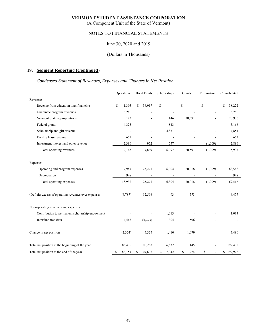(A Component Unit of the State of Vermont)

# NOTES TO FINANCIAL STATEMENTS

### June 30, 2020 and 2019

### (Dollars in Thousands)

# **18. Segment Reporting (Continued)**

# *Condensed Statement of Revenues, Expenses and Changes in Net Position*

|                                                      |    | Operations     | <b>Bond Funds</b>        |              | Scholarships | Grants                   |    | Elimination              | Consolidated |           |
|------------------------------------------------------|----|----------------|--------------------------|--------------|--------------|--------------------------|----|--------------------------|--------------|-----------|
| Revenues                                             |    |                |                          |              |              |                          |    |                          |              |           |
| Revenue from education loan financing                | S  | 1,305          | \$<br>36,917             | $\mathbb{S}$ |              | \$                       | S  |                          | S            | 38,222    |
| Guarantee program revenues                           |    | 3,286          |                          |              |              |                          |    |                          |              | 3,286     |
| Vermont State appropriations                         |    | 193            | ÷                        |              | 146          | 20,591                   |    |                          |              | 20,930    |
| Federal grants                                       |    | 4,323          |                          |              | 843          |                          |    |                          |              | 5,166     |
| Scholarship and gift revenue                         |    | $\overline{a}$ | $\overline{\phantom{a}}$ |              | 4,851        |                          |    | ٠                        |              | 4,851     |
| Facility lease revenue                               |    | 652            | L,                       |              |              |                          |    |                          |              | 652       |
| Investment interest and other revenue                |    | 2,386          | 952                      |              | 557          | $\overline{\phantom{a}}$ |    | (1,009)                  |              | 2,886     |
| Total operating revenues                             |    | 12,145         | 37,869                   |              | 6,397        | 20,591                   |    | (1,009)                  |              | 75,993    |
|                                                      |    |                |                          |              |              |                          |    |                          |              |           |
| Expenses                                             |    |                |                          |              |              |                          |    |                          |              |           |
| Operating and program expenses                       |    | 17,984         | 25,271                   |              | 6,304        | 20,018                   |    | (1,009)                  |              | 68,568    |
| Depreciation                                         |    | 948            |                          |              |              |                          |    |                          |              | 948       |
| Total operating expenses                             |    | 18,932         | 25,271                   |              | 6,304        | 20,018                   |    | (1,009)                  |              | 69,516    |
| (Deficit) excess of operating revenues over expenses |    | (6,787)        | 12,598                   |              | 93           | 573                      |    |                          |              | 6,477     |
| Non-operating revenues and expenses                  |    |                |                          |              |              |                          |    |                          |              |           |
| Contribution to permanent scholarship endowment      |    |                |                          |              | 1,013        |                          |    |                          |              | 1,013     |
| Interfund transfers                                  |    | 4,463          | (5,273)                  |              | 304          | 506                      |    |                          |              |           |
| Change in net position                               |    | (2,324)        | 7,325                    |              | 1,410        | 1,079                    |    |                          |              | 7,490     |
| Total net position at the beginning of the year      |    | 85,478         | 100,283                  |              | 6,532        | 145                      |    |                          |              | 192,438   |
| Total net position at the end of the year            | \$ | 83,154         | \$<br>107,608            | \$           | 7,942        | \$<br>1,224              | \$ | $\overline{\phantom{a}}$ |              | \$199,928 |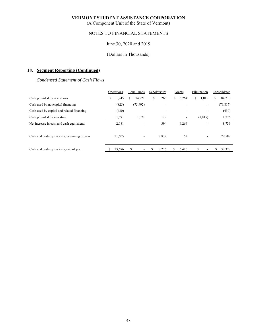(A Component Unit of the State of Vermont)

# NOTES TO FINANCIAL STATEMENTS

### June 30, 2020 and 2019

# (Dollars in Thousands)

# **18. Segment Reporting (Continued)**

#### *Condensed Statement of Cash Flows*

|                                              | Operations  |    | <b>Bond Funds</b>        | Scholarships |    | Grants                   |    | Elimination                  |    | Consolidated |
|----------------------------------------------|-------------|----|--------------------------|--------------|----|--------------------------|----|------------------------------|----|--------------|
| Cash provided by operations                  | \$<br>1,745 | S. | 74.921                   | \$<br>265    | \$ | 6,264                    | S. | 1,015                        | S. | 84,210       |
| Cash used by noncapital financing            | (825)       |    | (75,992)                 |              |    |                          |    | ٠.                           |    | (76, 817)    |
| Cash used by capital and related financing   | (430)       |    | ۰                        | ٠            |    |                          |    | ۰                            |    | (430)        |
| Cash provided by investing                   | 1,591       |    | 1,071                    | 129          |    | $\overline{\phantom{a}}$ |    | (1,015)                      |    | 1,776        |
| Net increase in cash and cash equivalents    | 2,081       |    | ۰                        | 394          |    | 6,264                    |    | ۰                            |    | 8,739        |
| Cash and cash equivalents, beginning of year | 21,605      |    |                          | 7,832        |    | 152                      |    | $\qquad \qquad \blacksquare$ |    | 29,589       |
| Cash and cash equivalents, end of year       | 23,686      | S  | $\overline{\phantom{a}}$ | 8,226        | S. | 6,416                    | S  | ۰                            | S  | 38,328       |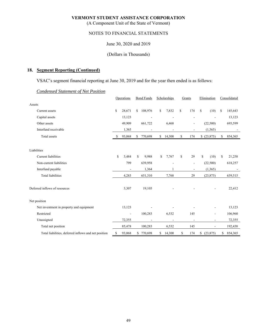(A Component Unit of the State of Vermont)

# NOTES TO FINANCIAL STATEMENTS

June 30, 2020 and 2019

#### (Dollars in Thousands)

# **18. Segment Reporting (Continued)**

VSAC's segment financial reporting at June 30, 2019 and for the year then ended is as follows:

|                                                      | Operations               | <b>Bond Funds</b> | Scholarships | Grants |                          | Elimination |                              | Consolidated |         |
|------------------------------------------------------|--------------------------|-------------------|--------------|--------|--------------------------|-------------|------------------------------|--------------|---------|
| Assets                                               |                          |                   |              |        |                          |             |                              |              |         |
| Current assets                                       | \$<br>28,671             | \$<br>108,976     | \$<br>7,832  | \$     | 174                      | \$          | (10)                         | \$           | 145,643 |
| Capital assets                                       | 13,123                   |                   |              |        |                          |             |                              |              | 13,123  |
| Other assets                                         | 49,909                   | 661,722           | 6,468        |        | $\overline{\phantom{a}}$ |             | (22,500)                     |              | 695,599 |
| Interfund receivable                                 | 1,365                    |                   |              |        |                          |             | (1,365)                      |              |         |
| Total assets                                         | \$<br>93,068             | \$<br>770,698     | \$<br>14,300 | \$     | 174                      |             | \$ (23,875)                  | \$           | 854,365 |
|                                                      |                          |                   |              |        |                          |             |                              |              |         |
| Liabilities                                          |                          |                   |              |        |                          |             |                              |              |         |
| <b>Current</b> liabilities                           | \$<br>3,484              | \$<br>9,988       | \$<br>7,767  | \$     | 29                       | \$          | (10)                         | S            | 21,258  |
| Non-current liabilities                              | 799                      | 639,958           | Ĭ.           |        | $\overline{\phantom{a}}$ |             | (22,500)                     |              | 618,257 |
| Interfund payable                                    |                          | 1,364             | 1            |        |                          |             | (1,365)                      |              |         |
| <b>Total liabilities</b>                             | 4,283                    | 651,310           | 7,768        |        | 29                       |             | (23, 875)                    |              | 639,515 |
| Deferred inflows of resources                        | 3,307                    | 19,105            |              |        |                          |             |                              |              | 22,412  |
| Net position                                         |                          |                   |              |        |                          |             |                              |              |         |
| Net investment in property and equipment             | 13,123                   |                   |              |        |                          |             |                              |              | 13,123  |
| Restricted                                           | $\overline{\phantom{a}}$ | 100,283           | 6,532        |        | 145                      |             | $\overline{\phantom{0}}$     |              | 106,960 |
| Unassigned                                           | 72,355                   |                   |              |        |                          |             | $\overline{\phantom{0}}$     |              | 72,355  |
| Total net position                                   | 85,478                   | 100,283           | 6,532        |        | 145                      |             | $\qquad \qquad \blacksquare$ |              | 192,438 |
| Total liabilities, deferred inflows and net position | \$<br>93,068             | \$770,698         | \$<br>14,300 | \$     | 174                      | \$          | (23, 875)                    | \$           | 854,365 |

### *Condensed Statement of Net Position*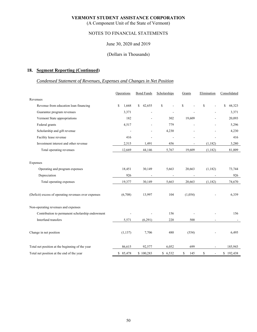(A Component Unit of the State of Vermont)

# NOTES TO FINANCIAL STATEMENTS

### June 30, 2020 and 2019

### (Dollars in Thousands)

# **18. Segment Reporting (Continued)**

# *Condensed Statement of Revenues, Expenses and Changes in Net Position*

|                                                      | Operations     | <b>Bond Funds</b>      | Scholarships | Grants         | Elimination    | Consolidated |  |
|------------------------------------------------------|----------------|------------------------|--------------|----------------|----------------|--------------|--|
| Revenues                                             |                |                        |              |                |                |              |  |
| Revenue from education loan financing                | S<br>1,668     | $\mathbb{S}$<br>42,655 | \$           | \$             | \$             | \$<br>44,323 |  |
| Guarantee program revenues                           | 3,371          |                        |              |                |                | 3,371        |  |
| Vermont State appropriations                         | 182            | ÷,                     | 302          | 19,609         |                | 20,093       |  |
| Federal grants                                       | 4,517          |                        | 779          |                |                | 5,296        |  |
| Scholarship and gift revenue                         | $\overline{a}$ | ٠                      | 4,230        | $\overline{a}$ | $\overline{a}$ | 4,230        |  |
| Facility lease revenue                               | 416            |                        | J.           |                |                | 416          |  |
| Investment interest and other revenue                | 2,515          | 1,491                  | 456          |                | (1, 182)       | 3,280        |  |
| Total operating revenues                             | 12,669         | 44,146                 | 5,767        | 19,609         | (1,182)        | 81,009       |  |
|                                                      |                |                        |              |                |                |              |  |
| Expenses                                             |                |                        |              |                |                |              |  |
| Operating and program expenses                       | 18,451         | 30,149                 | 5,663        | 20,663         | (1,182)        | 73,744       |  |
| Depreciation                                         | 926            | $\blacksquare$         | $\sim$       | ÷,             |                | 926          |  |
| Total operating expenses                             | 19,377         | 30,149                 | 5,663        | 20,663         | (1,182)        | 74,670       |  |
| (Deficit) excess of operating revenues over expenses | (6,708)        | 13,997                 | 104          | (1,054)        |                | 6,339        |  |
| Non-operating revenues and expenses                  |                |                        |              |                |                |              |  |
| Contribution to permanent scholarship endowment      |                |                        | 156          |                |                | 156          |  |
| Interfund transfers                                  | 5,571          | (6,291)                | 220          | 500            |                |              |  |
| Change in net position                               | (1, 137)       | 7,706                  | 480          | (554)          |                | 6,495        |  |
| Total net position at the beginning of the year      | 86,615         | 92,577                 | 6,052        | 699            |                | 185,943      |  |
| Total net position at the end of the year            | \$<br>85,478   | \$100,283              | \$6,532      | \$<br>145      | \$<br>L,       | \$192,438    |  |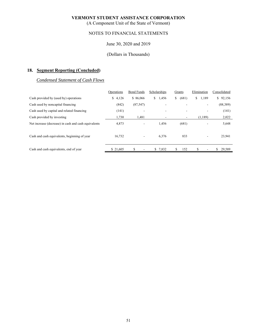(A Component Unit of the State of Vermont)

# NOTES TO FINANCIAL STATEMENTS

### June 30, 2020 and 2019

# (Dollars in Thousands)

# **18. Segment Reporting (Concluded)**

# *Condensed Statement of Cash Flows*

|                                                      | Operations | <b>Bond Funds</b> | Scholarships | Grants      | Elimination | Consolidated |
|------------------------------------------------------|------------|-------------------|--------------|-------------|-------------|--------------|
| Cash provided by (used by) operations                | \$4,126    | \$86,066          | S.<br>1,456  | (681)<br>\$ | \$<br>1,189 | 92,156<br>\$ |
| Cash used by noncapital financing                    | (842)      | (87, 547)         |              |             | ٠.          | (88,389)     |
| Cash used by capital and related financing           | (141)      | ۰                 | ۰            |             | ۰           | (141)        |
| Cash provided by investing                           | 1,730      | 1,481             |              | ۰.          | (1,189)     | 2,022        |
| Net increase (decrease) in cash and cash equivalents | 4,873      | ۰.                | 1,456        | (681)       |             | 5,648        |
| Cash and cash equivalents, beginning of year         | 16,732     |                   | 6,376        | 833         | ۰           | 23,941       |
| Cash and cash equivalents, end of year               | \$21,605   | S                 | \$7,832      | 152         | \$          | 29,589<br>S. |